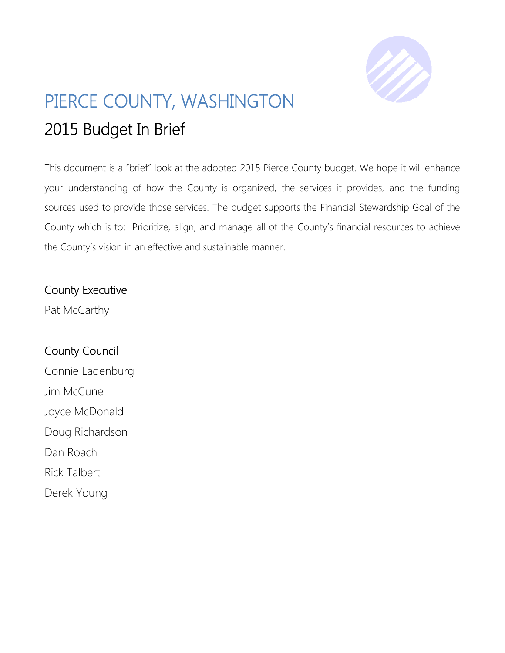

# PIERCE COUNTY, WASHINGTON 2015 Budget In Brief

This document is a "brief" look at the adopted 2015 Pierce County budget. We hope it will enhance your understanding of how the County is organized, the services it provides, and the funding sources used to provide those services. The budget supports the Financial Stewardship Goal of the County which is to: Prioritize, align, and manage all of the County's financial resources to achieve the County's vision in an effective and sustainable manner.

### County Executive

Pat McCarthy

## County Council Connie Ladenburg Jim McCune Joyce McDonald Doug Richardson Dan Roach Rick Talbert Derek Young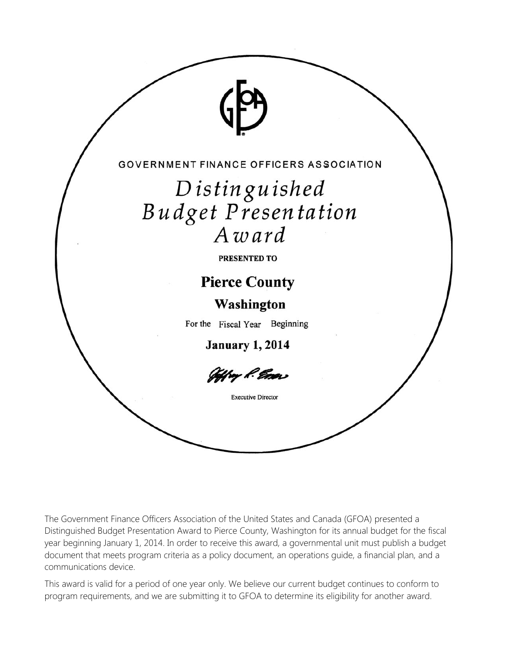

The Government Finance Officers Association of the United States and Canada (GFOA) presented a Distinguished Budget Presentation Award to Pierce County, Washington for its annual budget for the fiscal year beginning January 1, 2014. In order to receive this award, a governmental unit must publish a budget document that meets program criteria as a policy document, an operations guide, a financial plan, and a communications device.

This award is valid for a period of one year only. We believe our current budget continues to conform to program requirements, and we are submitting it to GFOA to determine its eligibility for another award.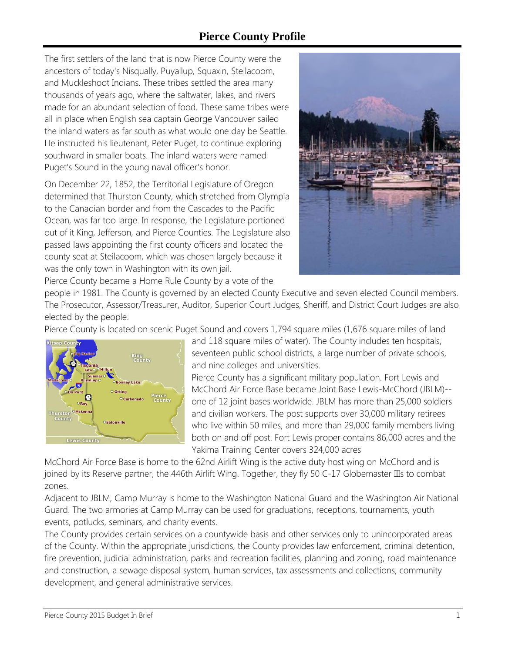### **Pierce County Profile**

The first settlers of the land that is now Pierce County were the ancestors of today's Nisqually, Puyallup, Squaxin, Steilacoom, and Muckleshoot Indians. These tribes settled the area many thousands of years ago, where the saltwater, lakes, and rivers made for an abundant selection of food. These same tribes were all in place when English sea captain George Vancouver sailed the inland waters as far south as what would one day be Seattle. He instructed his lieutenant, Peter Puget, to continue exploring southward in smaller boats. The inland waters were named Puget's Sound in the young naval officer's honor.

On December 22, 1852, the Territorial Legislature of Oregon determined that Thurston County, which stretched from Olympia to the Canadian border and from the Cascades to the Pacific Ocean, was far too large. In response, the Legislature portioned out of it King, Jefferson, and Pierce Counties. The Legislature also passed laws appointing the first county officers and located the county seat at Steilacoom, which was chosen largely because it was the only town in Washington with its own jail. Pierce County became a Home Rule County by a vote of the



people in 1981. The County is governed by an elected County Executive and seven elected Council members. The Prosecutor, Assessor/Treasurer, Auditor, Superior Court Judges, Sheriff, and District Court Judges are also elected by the people.

Pierce County is located on scenic Puget Sound and covers 1,794 square miles (1,676 square miles of land



and 118 square miles of water). The County includes ten hospitals, seventeen public school districts, a large number of private schools, and nine colleges and universities.

Pierce County has a significant military population. Fort Lewis and McChord Air Force Base became Joint Base Lewis-McChord (JBLM)- one of 12 joint bases worldwide. JBLM has more than 25,000 soldiers and civilian workers. The post supports over 30,000 military retirees who live within 50 miles, and more than 29,000 family members living both on and off post. Fort Lewis proper contains 86,000 acres and the Yakima Training Center covers 324,000 acres

McChord Air Force Base is home to the 62nd Airlift Wing is the active duty host wing on McChord and is joined by its Reserve partner, the 446th Airlift Wing. Together, they fly 50 C-17 Globemaster IIIs to combat zones.

Adjacent to JBLM, Camp Murray is home to the Washington National Guard and the Washington Air National Guard. The two armories at Camp Murray can be used for graduations, receptions, tournaments, youth events, potlucks, seminars, and charity events.

The County provides certain services on a countywide basis and other services only to unincorporated areas of the County. Within the appropriate jurisdictions, the County provides law enforcement, criminal detention, fire prevention, judicial administration, parks and recreation facilities, planning and zoning, road maintenance and construction, a sewage disposal system, human services, tax assessments and collections, community development, and general administrative services.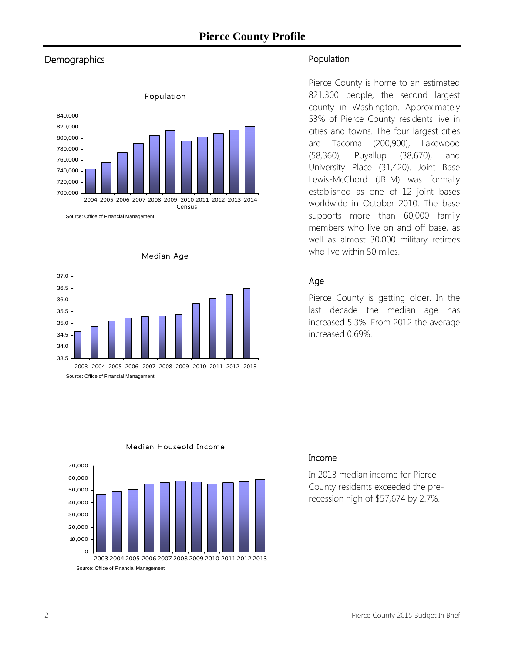### **Pierce County Profile**

### **Demographics**







Population

Pierce County is home to an estimated 821,300 people, the second largest county in Washington. Approximately 53% of Pierce County residents live in cities and towns. The four largest cities are Tacoma (200,900), Lakewood (58,360), Puyallup (38,670), and University Place (31,420). Joint Base Lewis-McChord (JBLM) was formally established as one of 12 joint bases worldwide in October 2010. The base supports more than 60,000 family members who live on and off base, as well as almost 30,000 military retirees who live within 50 miles.

#### Age

Pierce County is getting older. In the last decade the median age has increased 5.3%. From 2012 the average increased 0.69%.



#### Median Houseold Income

#### Income

In 2013 median income for Pierce County residents exceeded the prerecession high of \$57,674 by 2.7%.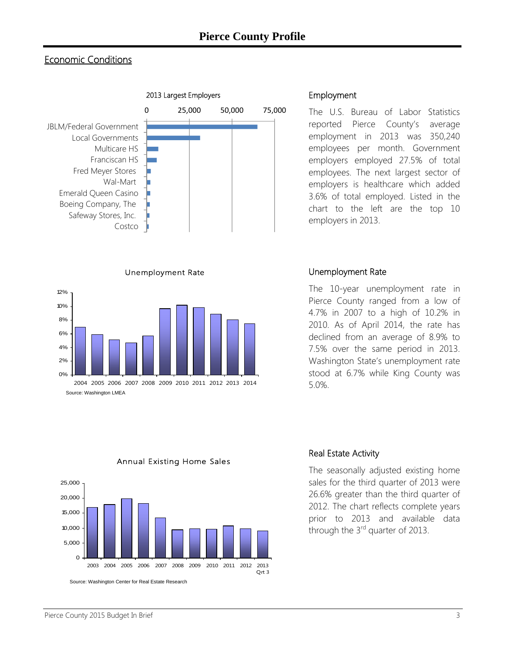### Economic Conditions



Unemployment Rate



#### Employment

The U.S. Bureau of Labor Statistics reported Pierce County's average employment in 2013 was 350,240 employees per month. Government employers employed 27.5% of total employees. The next largest sector of employers is healthcare which added 3.6% of total employed. Listed in the chart to the left are the top 10 employers in 2013.

#### Unemployment Rate

Real Estate Activity

The 10-year unemployment rate in Pierce County ranged from a low of 4.7% in 2007 to a high of 10.2% in 2010. As of April 2014, the rate has declined from an average of 8.9% to 7.5% over the same period in 2013. Washington State's unemployment rate stood at 6.7% while King County was 5.0%.

The seasonally adjusted existing home sales for the third quarter of 2013 were 26.6% greater than the third quarter of 2012. The chart reflects complete years prior to 2013 and available data

through the  $3<sup>rd</sup>$  quarter of 2013.



Annual Existing Home Sales

#### **Pierce County 2015 Budget In Brief 33 and 2016 12:31 and 2016 12:31 and 33 and 33 and 33 and 33 and 33 and 33 and 33 and 33 and 33 and 33 and 33 and 33 and 33 and 34 and 35 and 35 and 35 and 35 and 35 and 35 and 35 and 35**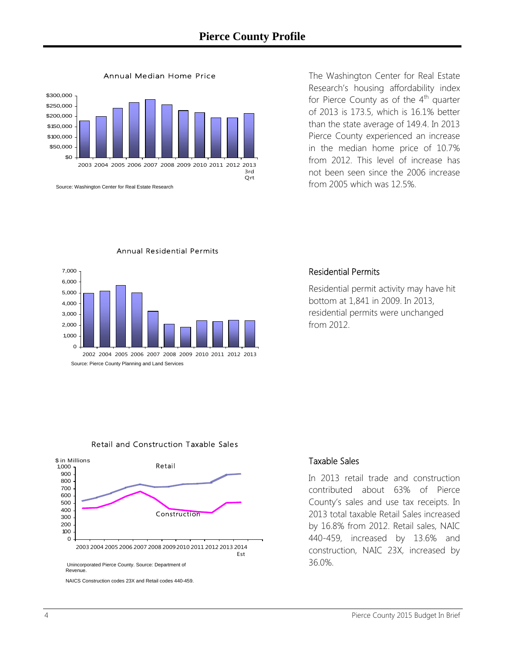

Annual Median Home Price

The Washington Center for Real Estate Research's housing affordability index for Pierce County as of the  $4<sup>th</sup>$  quarter of 2013 is 173.5, which is 16.1% better than the state average of 149.4. In 2013 Pierce County experienced an increase in the median home price of 10.7% from 2012. This level of increase has not been seen since the 2006 increase from 2005 which was 12.5%.



#### Annual Residential Permits

#### Residential Permits

Residential permit activity may have hit bottom at 1,841 in 2009. In 2013, residential permits were unchanged from 2012.

#### Retail and Construction Taxable Sales



#### Taxable Sales

In 2013 retail trade and construction contributed about 63% of Pierce County's sales and use tax receipts. In 2013 total taxable Retail Sales increased by 16.8% from 2012. Retail sales, NAIC 440-459, increased by 13.6% and construction, NAIC 23X, increased by 36.0%.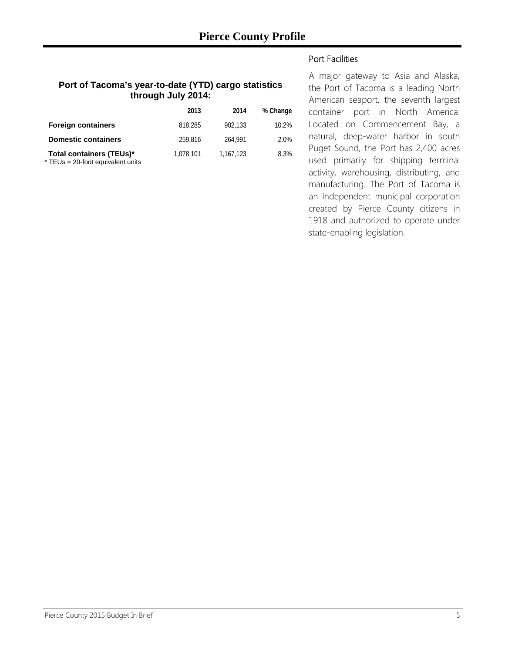#### **Port of Tacoma's year-to-date (YTD) cargo statistics through July 2014:**

|                                                               | 2013      | 2014      | % Change |
|---------------------------------------------------------------|-----------|-----------|----------|
| <b>Foreign containers</b>                                     | 818,285   | 902.133   | 10.2%    |
| <b>Domestic containers</b>                                    | 259.816   | 264.991   | 2.0%     |
| Total containers (TEUs)*<br>* TEUs = 20-foot equivalent units | 1,078,101 | 1.167.123 | 8.3%     |

Port Facilities

A major gateway to Asia and Alaska, the Port of Tacoma is a leading North American seaport, the seventh largest container port in North America. Located on Commencement Bay, a natural, deep-water harbor in south Puget Sound, the Port has 2,400 acres used primarily for shipping terminal activity, warehousing, distributing, and manufacturing. The Port of Tacoma is an independent municipal corporation created by Pierce County citizens in 1918 and authorized to operate under state-enabling legislation.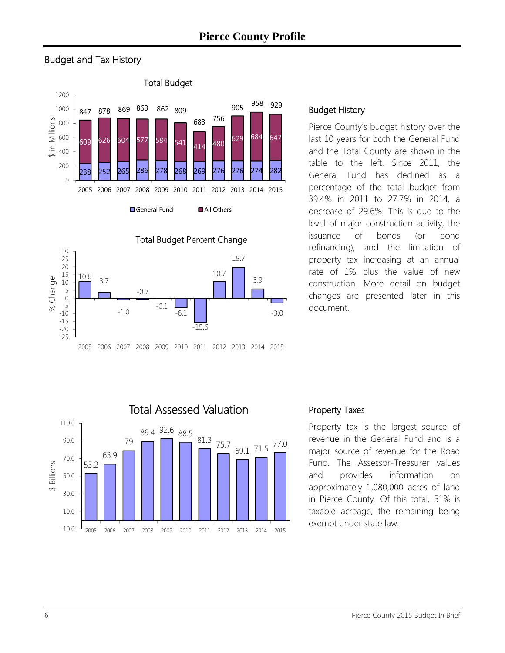### **Pierce County Profile**







#### Budget History

Pierce County's budget history over the last 10 years for both the General Fund and the Total County are shown in the table to the left. Since 2011, the General Fund has declined as a percentage of the total budget from 39.4% in 2011 to 27.7% in 2014, a decrease of 29.6%. This is due to the level of major construction activity, the issuance of bonds (or bond refinancing), and the limitation of property tax increasing at an annual rate of 1% plus the value of new construction. More detail on budget changes are presented later in this document.



#### Property Taxes

Property tax is the largest source of revenue in the General Fund and is a major source of revenue for the Road Fund. The Assessor-Treasurer values and provides information on approximately 1,080,000 acres of land in Pierce County. Of this total, 51% is taxable acreage, the remaining being exempt under state law.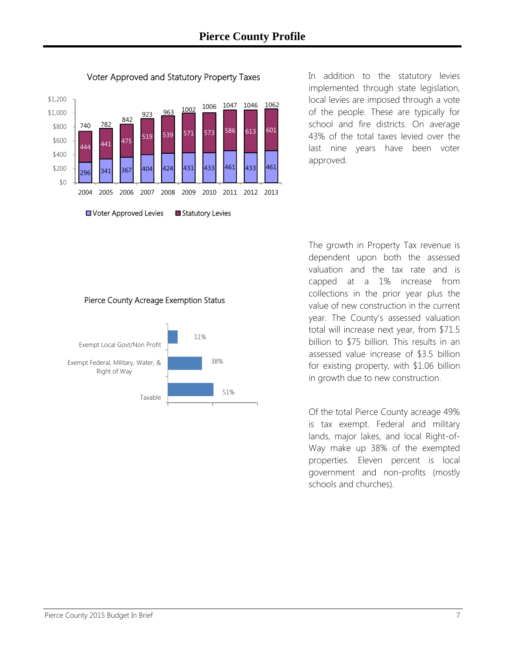

Voter Approved and Statutory Property Taxes

In addition to the statutory levies implemented through state legislation, local levies are imposed through a vote of the people. These are typically for school and fire districts. On average 43% of the total taxes levied over the last nine years have been voter approved.

#### Pierce County Acreage Exemption Status



The growth in Property Tax revenue is dependent upon both the assessed valuation and the tax rate and is capped at a 1% increase from collections in the prior year plus the value of new construction in the current year. The County's assessed valuation total will increase next year, from \$71.5 billion to \$75 billion. This results in an assessed value increase of \$3.5 billion for existing property, with \$1.06 billion in growth due to new construction.

Of the total Pierce County acreage 49% is tax exempt. Federal and military lands, major lakes, and local Right-of-Way make up 38% of the exempted properties. Eleven percent is local government and non-profits (mostly schools and churches).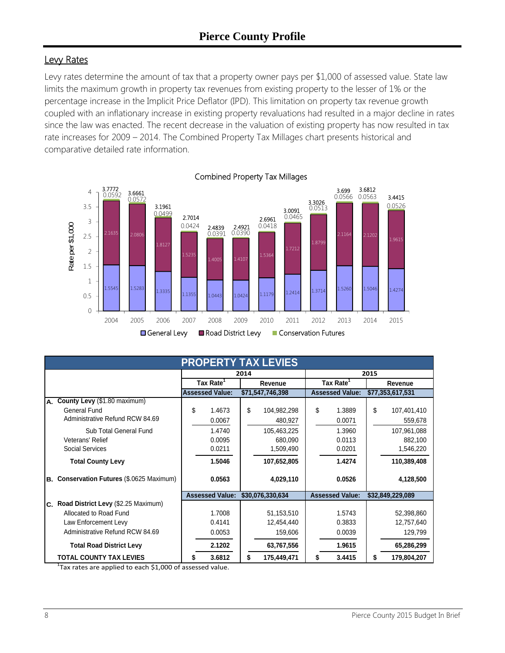### Levy Rates

Levy rates determine the amount of tax that a property owner pays per \$1,000 of assessed value. State law limits the maximum growth in property tax revenues from existing property to the lesser of 1% or the percentage increase in the Implicit Price Deflator (IPD). This limitation on property tax revenue growth coupled with an inflationary increase in existing property revaluations had resulted in a major decline in rates since the law was enacted. The recent decrease in the valuation of existing property has now resulted in tax rate increases for 2009 – 2014. The Combined Property Tax Millages chart presents historical and comparative detailed rate information.



| <b>PROPERTY TAX LEVIES</b>                          |    |                        |         |                  |                       |                        |         |                  |
|-----------------------------------------------------|----|------------------------|---------|------------------|-----------------------|------------------------|---------|------------------|
|                                                     |    | 2014                   |         |                  |                       | 2015                   |         |                  |
|                                                     |    | Tax Rate <sup>1</sup>  | Revenue |                  | Tax Rate <sup>1</sup> |                        | Revenue |                  |
|                                                     |    | <b>Assessed Value:</b> |         | \$71,547,746,398 |                       | <b>Assessed Value:</b> |         | \$77,353,617,531 |
| County Levy (\$1.80 maximum)<br>А.                  |    |                        |         |                  |                       |                        |         |                  |
| General Fund                                        | \$ | 1.4673                 | \$      | 104,982,298      | \$                    | 1.3889                 | \$      | 107,401,410      |
| Administrative Refund RCW 84.69                     |    | 0.0067                 |         | 480,927          |                       | 0.0071                 |         | 559,678          |
| Sub Total General Fund                              |    | 1.4740                 |         | 105,463,225      |                       | 1.3960                 |         | 107,961,088      |
| Veterans' Relief                                    |    | 0.0095                 |         | 680,090          |                       | 0.0113                 |         | 882,100          |
| Social Services                                     |    | 0.0211                 |         | 1,509,490        |                       | 0.0201                 |         | 1,546,220        |
| <b>Total County Levy</b>                            |    | 1.5046                 |         | 107,652,805      |                       | 1.4274                 |         | 110,389,408      |
| Conservation Futures (\$.0625 Maximum)<br><b>B.</b> |    | 0.0563                 |         | 4,029,110        |                       | 0.0526                 |         | 4,128,500        |
|                                                     |    | <b>Assessed Value:</b> |         | \$30,076,330,634 |                       | <b>Assessed Value:</b> |         | \$32,849,229,089 |
| C. Road District Levy (\$2.25 Maximum)              |    |                        |         |                  |                       |                        |         |                  |
| Allocated to Road Fund                              |    | 1.7008                 |         | 51,153,510       |                       | 1.5743                 |         | 52,398,860       |
| Law Enforcement Levy                                |    | 0.4141                 |         | 12,454,440       |                       | 0.3833                 |         | 12,757,640       |
| Administrative Refund RCW 84.69                     |    | 0.0053                 |         | 159,606          |                       | 0.0039                 |         | 129,799          |
| <b>Total Road District Levy</b>                     |    | 2.1202                 |         | 63,767,556       |                       | 1.9615                 |         | 65,286,299       |
| <b>TOTAL COUNTY TAX LEVIES</b>                      | \$ | 3.6812                 | \$      | 175,449,471      | \$                    | 3.4415                 | S       | 179,804,207      |

 $1$ Tax rates are applied to each \$1,000 of assessed value.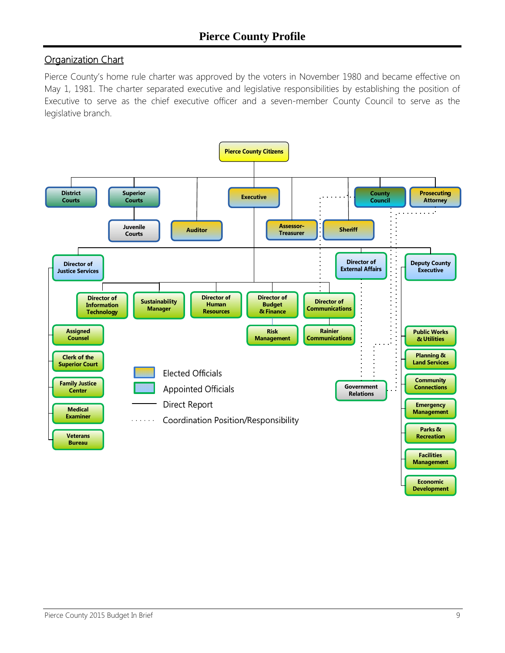### **Organization Chart**

Pierce County's home rule charter was approved by the voters in November 1980 and became effective on May 1, 1981. The charter separated executive and legislative responsibilities by establishing the position of Executive to serve as the chief executive officer and a seven-member County Council to serve as the legislative branch.

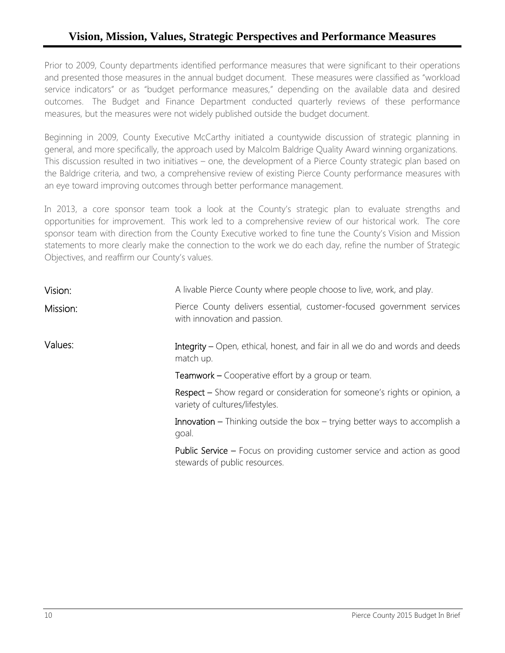### **Vision, Mission, Values, Strategic Perspectives and Performance Measures**

Prior to 2009, County departments identified performance measures that were significant to their operations and presented those measures in the annual budget document. These measures were classified as "workload service indicators" or as "budget performance measures," depending on the available data and desired outcomes. The Budget and Finance Department conducted quarterly reviews of these performance measures, but the measures were not widely published outside the budget document.

Beginning in 2009, County Executive McCarthy initiated a countywide discussion of strategic planning in general, and more specifically, the approach used by Malcolm Baldrige Quality Award winning organizations. This discussion resulted in two initiatives – one, the development of a Pierce County strategic plan based on the Baldrige criteria, and two, a comprehensive review of existing Pierce County performance measures with an eye toward improving outcomes through better performance management.

In 2013, a core sponsor team took a look at the County's strategic plan to evaluate strengths and opportunities for improvement. This work led to a comprehensive review of our historical work. The core sponsor team with direction from the County Executive worked to fine tune the County's Vision and Mission statements to more clearly make the connection to the work we do each day, refine the number of Strategic Objectives, and reaffirm our County's values.

| Vision:  | A livable Pierce County where people choose to live, work, and play.                                                |
|----------|---------------------------------------------------------------------------------------------------------------------|
| Mission: | Pierce County delivers essential, customer-focused government services<br>with innovation and passion.              |
| Values:  | Integrity - Open, ethical, honest, and fair in all we do and words and deeds<br>match up.                           |
|          | <b>Teamwork –</b> Cooperative effort by a group or team.                                                            |
|          | <b>Respect</b> – Show regard or consideration for someone's rights or opinion, a<br>variety of cultures/lifestyles. |
|          | <b>Innovation –</b> Thinking outside the box – trying better ways to accomplish a<br>goal.                          |
|          | <b>Public Service –</b> Focus on providing customer service and action as good<br>stewards of public resources.     |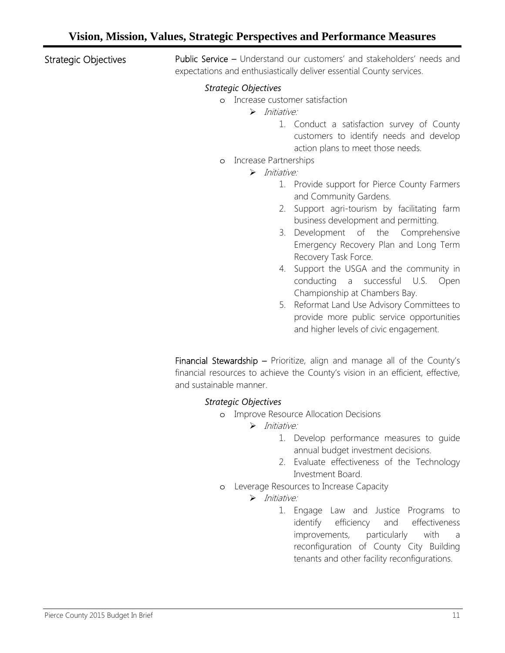Strategic Objectives

Public Service – Understand our customers' and stakeholders' needs and expectations and enthusiastically deliver essential County services.

#### *Strategic Objectives*

- o Increase customer satisfaction
	- $\triangleright$  Initiative:
		- 1. Conduct a satisfaction survey of County customers to identify needs and develop action plans to meet those needs.
- o Increase Partnerships
	- $\triangleright$  Initiative:
		- 1. Provide support for Pierce County Farmers and Community Gardens.
		- 2. Support agri-tourism by facilitating farm business development and permitting.
		- 3. Development of the Comprehensive Emergency Recovery Plan and Long Term Recovery Task Force.
		- 4. Support the USGA and the community in conducting a successful U.S. Open Championship at Chambers Bay.
		- 5. Reformat Land Use Advisory Committees to provide more public service opportunities and higher levels of civic engagement.

Financial Stewardship - Prioritize, align and manage all of the County's financial resources to achieve the County's vision in an efficient, effective, and sustainable manner.

#### *Strategic Objectives*

o Improve Resource Allocation Decisions

 $\triangleright$  Initiative:

- 1. Develop performance measures to guide annual budget investment decisions.
- 2. Evaluate effectiveness of the Technology Investment Board.
- o Leverage Resources to Increase Capacity
	- $\triangleright$  Initiative:
		- 1. Engage Law and Justice Programs to identify efficiency and effectiveness improvements, particularly with a reconfiguration of County City Building tenants and other facility reconfigurations.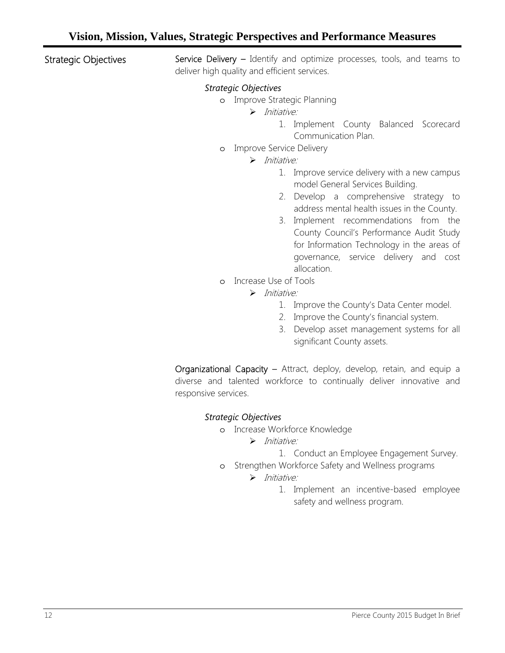Strategic Objectives

Service Delivery - Identify and optimize processes, tools, and teams to deliver high quality and efficient services.

#### *Strategic Objectives*

- o Improve Strategic Planning
	- $\triangleright$  Initiative:
		- 1. Implement County Balanced Scorecard Communication Plan.
- o Improve Service Delivery
	- $\triangleright$  Initiative:
		- 1. Improve service delivery with a new campus model General Services Building.
		- 2. Develop a comprehensive strategy to address mental health issues in the County.
		- 3. Implement recommendations from the County Council's Performance Audit Study for Information Technology in the areas of governance, service delivery and cost allocation.
- o Increase Use of Tools
	- $\triangleright$  Initiative:
		- 1. Improve the County's Data Center model.
		- 2. Improve the County's financial system.
		- 3. Develop asset management systems for all significant County assets.

Organizational Capacity – Attract, deploy, develop, retain, and equip a diverse and talented workforce to continually deliver innovative and responsive services.

#### *Strategic Objectives*

- o Increase Workforce Knowledge
	- $\triangleright$  Initiative:
		- 1. Conduct an Employee Engagement Survey.
- o Strengthen Workforce Safety and Wellness programs

#### $\triangleright$  Initiative:

1. Implement an incentive-based employee safety and wellness program.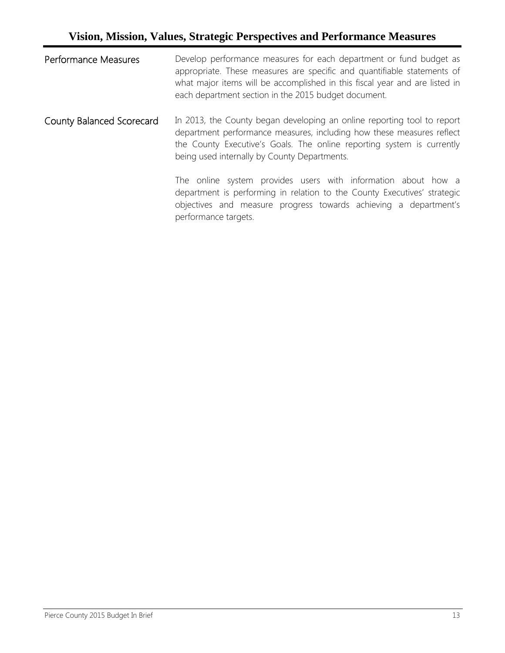### **Vision, Mission, Values, Strategic Perspectives and Performance Measures**

| <b>Performance Measures</b> | Develop performance measures for each department or fund budget as<br>appropriate. These measures are specific and quantifiable statements of<br>what major items will be accomplished in this fiscal year and are listed in<br>each department section in the 2015 budget document. |
|-----------------------------|--------------------------------------------------------------------------------------------------------------------------------------------------------------------------------------------------------------------------------------------------------------------------------------|
| County Balanced Scorecard   | In 2013, the County began developing an online reporting tool to report<br>department performance measures, including how these measures reflect<br>the County Executive's Goals. The online reporting system is currently<br>being used internally by County Departments.           |
|                             | The online system provides users with information about how a<br>department is performing in relation to the County Executives' strategic<br>objectives and measure progress towards achieving a department's<br>performance targets.                                                |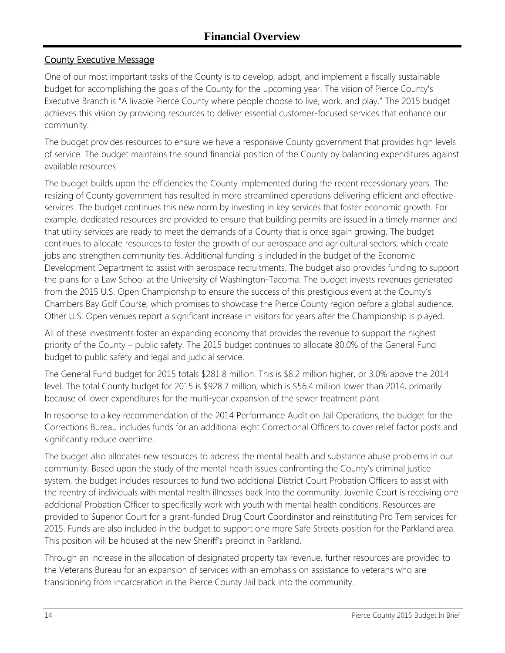### County Executive Message

One of our most important tasks of the County is to develop, adopt, and implement a fiscally sustainable budget for accomplishing the goals of the County for the upcoming year. The vision of Pierce County's Executive Branch is "A livable Pierce County where people choose to live, work, and play." The 2015 budget achieves this vision by providing resources to deliver essential customer-focused services that enhance our community.

The budget provides resources to ensure we have a responsive County government that provides high levels of service. The budget maintains the sound financial position of the County by balancing expenditures against available resources.

The budget builds upon the efficiencies the County implemented during the recent recessionary years. The resizing of County government has resulted in more streamlined operations delivering efficient and effective services. The budget continues this new norm by investing in key services that foster economic growth. For example, dedicated resources are provided to ensure that building permits are issued in a timely manner and that utility services are ready to meet the demands of a County that is once again growing. The budget continues to allocate resources to foster the growth of our aerospace and agricultural sectors, which create jobs and strengthen community ties. Additional funding is included in the budget of the Economic Development Department to assist with aerospace recruitments. The budget also provides funding to support the plans for a Law School at the University of Washington-Tacoma. The budget invests revenues generated from the 2015 U.S. Open Championship to ensure the success of this prestigious event at the County's Chambers Bay Golf Course, which promises to showcase the Pierce County region before a global audience. Other U.S. Open venues report a significant increase in visitors for years after the Championship is played.

All of these investments foster an expanding economy that provides the revenue to support the highest priority of the County – public safety. The 2015 budget continues to allocate 80.0% of the General Fund budget to public safety and legal and judicial service.

The General Fund budget for 2015 totals \$281.8 million. This is \$8.2 million higher, or 3.0% above the 2014 level. The total County budget for 2015 is \$928.7 million, which is \$56.4 million lower than 2014, primarily because of lower expenditures for the multi-year expansion of the sewer treatment plant.

In response to a key recommendation of the 2014 Performance Audit on Jail Operations, the budget for the Corrections Bureau includes funds for an additional eight Correctional Officers to cover relief factor posts and significantly reduce overtime.

The budget also allocates new resources to address the mental health and substance abuse problems in our community. Based upon the study of the mental health issues confronting the County's criminal justice system, the budget includes resources to fund two additional District Court Probation Officers to assist with the reentry of individuals with mental health illnesses back into the community. Juvenile Court is receiving one additional Probation Officer to specifically work with youth with mental health conditions. Resources are provided to Superior Court for a grant-funded Drug Court Coordinator and reinstituting Pro Tem services for 2015. Funds are also included in the budget to support one more Safe Streets position for the Parkland area. This position will be housed at the new Sheriff's precinct in Parkland.

Through an increase in the allocation of designated property tax revenue, further resources are provided to the Veterans Bureau for an expansion of services with an emphasis on assistance to veterans who are transitioning from incarceration in the Pierce County Jail back into the community.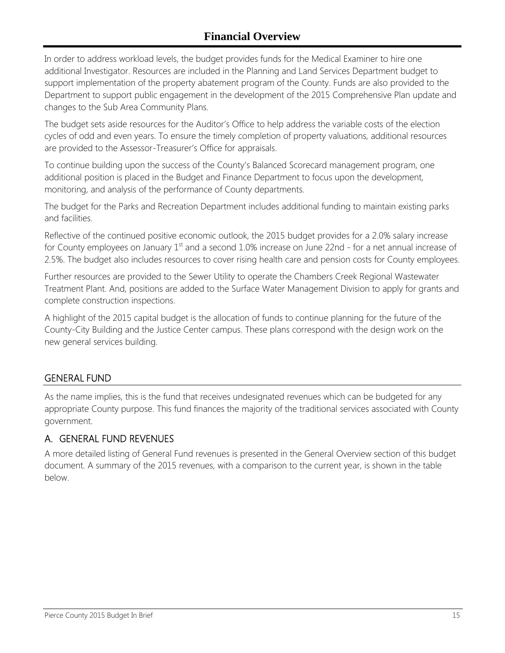In order to address workload levels, the budget provides funds for the Medical Examiner to hire one additional Investigator. Resources are included in the Planning and Land Services Department budget to support implementation of the property abatement program of the County. Funds are also provided to the Department to support public engagement in the development of the 2015 Comprehensive Plan update and changes to the Sub Area Community Plans.

The budget sets aside resources for the Auditor's Office to help address the variable costs of the election cycles of odd and even years. To ensure the timely completion of property valuations, additional resources are provided to the Assessor-Treasurer's Office for appraisals.

To continue building upon the success of the County's Balanced Scorecard management program, one additional position is placed in the Budget and Finance Department to focus upon the development, monitoring, and analysis of the performance of County departments.

The budget for the Parks and Recreation Department includes additional funding to maintain existing parks and facilities.

Reflective of the continued positive economic outlook, the 2015 budget provides for a 2.0% salary increase for County employees on January  $1<sup>st</sup>$  and a second 1.0% increase on June 22nd - for a net annual increase of 2.5%. The budget also includes resources to cover rising health care and pension costs for County employees.

Further resources are provided to the Sewer Utility to operate the Chambers Creek Regional Wastewater Treatment Plant. And, positions are added to the Surface Water Management Division to apply for grants and complete construction inspections.

A highlight of the 2015 capital budget is the allocation of funds to continue planning for the future of the County-City Building and the Justice Center campus. These plans correspond with the design work on the new general services building.

#### GENERAL FUND

As the name implies, this is the fund that receives undesignated revenues which can be budgeted for any appropriate County purpose. This fund finances the majority of the traditional services associated with County government.

### A. GENERAL FUND REVENUES

A more detailed listing of General Fund revenues is presented in the General Overview section of this budget document. A summary of the 2015 revenues, with a comparison to the current year, is shown in the table below.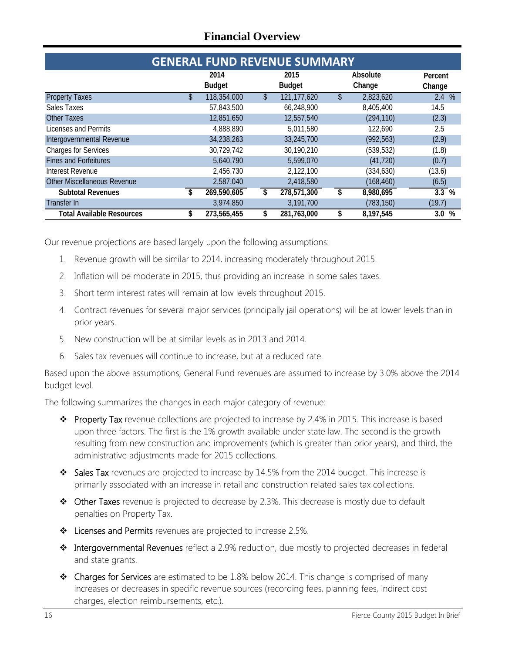| <b>GENERAL FUND REVENUE SUMMARY</b> |    |                       |    |                       |    |                    |         |
|-------------------------------------|----|-----------------------|----|-----------------------|----|--------------------|---------|
|                                     |    | 2014<br><b>Budget</b> |    | 2015<br><b>Budget</b> |    | Absolute<br>Change | Percent |
|                                     |    |                       |    |                       |    |                    | Change  |
| <b>Property Taxes</b>               | \$ | 118,354,000           | S. | 121, 177, 620         |    | 2,823,620          | 2.4%    |
| Sales Taxes                         |    | 57,843,500            |    | 66,248,900            |    | 8,405,400          | 14.5    |
| <b>Other Taxes</b>                  |    | 12,851,650            |    | 12,557,540            |    | (294, 110)         | (2.3)   |
| Licenses and Permits                |    | 4,888,890             |    | 5,011,580             |    | 122,690            | 2.5     |
| Intergovernmental Revenue           |    | 34,238,263            |    | 33,245,700            |    | (992, 563)         | (2.9)   |
| <b>Charges for Services</b>         |    | 30,729,742            |    | 30,190,210            |    | (539, 532)         | (1.8)   |
| <b>Fines and Forfeitures</b>        |    | 5,640,790             |    | 5,599,070             |    | (41, 720)          | (0.7)   |
| Interest Revenue                    |    | 2,456,730             |    | 2,122,100             |    | (334, 630)         | (13.6)  |
| Other Miscellaneous Revenue         |    | 2,587,040             |    | 2,418,580             |    | (168, 460)         | (6.5)   |
| <b>Subtotal Revenues</b>            |    | 269,590,605           | \$ | 278,571,300           | \$ | 8,980,695          | 3.3%    |
| Transfer In                         |    | 3,974,850             |    | 3,191,700             |    | (783, 150)         | (19.7)  |
| <b>Total Available Resources</b>    |    | 273,565,455           |    | 281,763,000           |    | 8,197,545          | $3.0\%$ |

Our revenue projections are based largely upon the following assumptions:

- 1. Revenue growth will be similar to 2014, increasing moderately throughout 2015.
- 2. Inflation will be moderate in 2015, thus providing an increase in some sales taxes.
- 3. Short term interest rates will remain at low levels throughout 2015.
- 4. Contract revenues for several major services (principally jail operations) will be at lower levels than in prior years.
- 5. New construction will be at similar levels as in 2013 and 2014.
- 6. Sales tax revenues will continue to increase, but at a reduced rate.

Based upon the above assumptions, General Fund revenues are assumed to increase by 3.0% above the 2014 budget level.

The following summarizes the changes in each major category of revenue:

- **Property Tax** revenue collections are projected to increase by 2.4% in 2015. This increase is based upon three factors. The first is the 1% growth available under state law. The second is the growth resulting from new construction and improvements (which is greater than prior years), and third, the administrative adjustments made for 2015 collections.
- Sales Tax revenues are projected to increase by 14.5% from the 2014 budget. This increase is primarily associated with an increase in retail and construction related sales tax collections.
- Other Taxes revenue is projected to decrease by 2.3%. This decrease is mostly due to default penalties on Property Tax.
- Licenses and Permits revenues are projected to increase 2.5%.
- \* Intergovernmental Revenues reflect a 2.9% reduction, due mostly to projected decreases in federal and state grants.
- $\triangleleft$  Charges for Services are estimated to be 1.8% below 2014. This change is comprised of many increases or decreases in specific revenue sources (recording fees, planning fees, indirect cost charges, election reimbursements, etc.).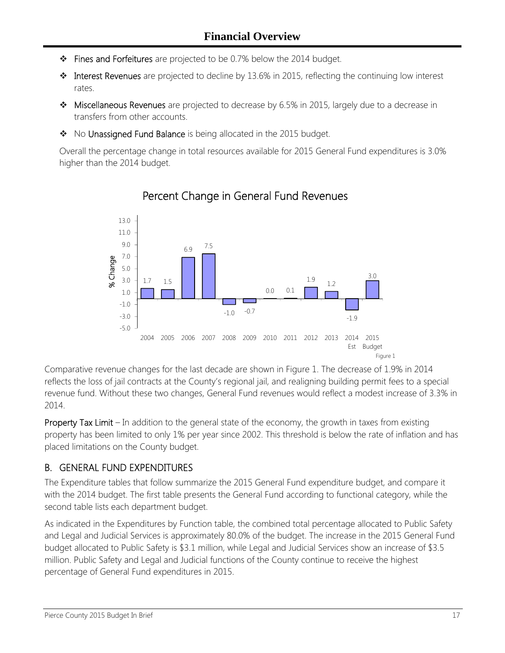- \* Fines and Forfeitures are projected to be 0.7% below the 2014 budget.
- $\cdot \cdot$  Interest Revenues are projected to decline by 13.6% in 2015, reflecting the continuing low interest rates.
- $\bullet\bullet\text{ Miscellaneous Revenues}$  are projected to decrease by 6.5% in 2015, largely due to a decrease in transfers from other accounts.
- No Unassigned Fund Balance is being allocated in the 2015 budget.

Overall the percentage change in total resources available for 2015 General Fund expenditures is 3.0% higher than the 2014 budget.



### Percent Change in General Fund Revenues

Comparative revenue changes for the last decade are shown in Figure 1. The decrease of 1.9% in 2014 reflects the loss of jail contracts at the County's regional jail, and realigning building permit fees to a special revenue fund. Without these two changes, General Fund revenues would reflect a modest increase of 3.3% in 2014.

Property Tax Limit – In addition to the general state of the economy, the growth in taxes from existing property has been limited to only 1% per year since 2002. This threshold is below the rate of inflation and has placed limitations on the County budget.

### B. GENERAL FUND EXPENDITURES

The Expenditure tables that follow summarize the 2015 General Fund expenditure budget, and compare it with the 2014 budget. The first table presents the General Fund according to functional category, while the second table lists each department budget.

As indicated in the Expenditures by Function table, the combined total percentage allocated to Public Safety and Legal and Judicial Services is approximately 80.0% of the budget. The increase in the 2015 General Fund budget allocated to Public Safety is \$3.1 million, while Legal and Judicial Services show an increase of \$3.5 million. Public Safety and Legal and Judicial functions of the County continue to receive the highest percentage of General Fund expenditures in 2015.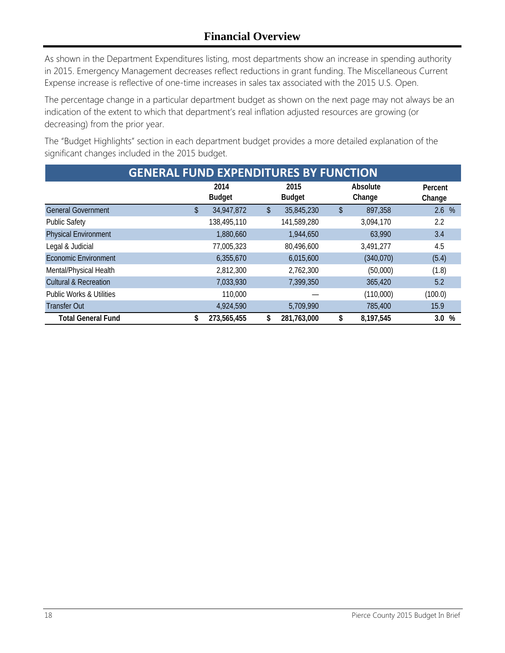As shown in the Department Expenditures listing, most departments show an increase in spending authority in 2015. Emergency Management decreases reflect reductions in grant funding. The Miscellaneous Current Expense increase is reflective of one-time increases in sales tax associated with the 2015 U.S. Open.

The percentage change in a particular department budget as shown on the next page may not always be an indication of the extent to which that department's real inflation adjusted resources are growing (or decreasing) from the prior year.

The "Budget Highlights" section in each department budget provides a more detailed explanation of the significant changes included in the 2015 budget.

| <b>GENERAL FUND EXPENDITURES BY FUNCTION</b> |    |                       |    |                       |    |                    |                   |
|----------------------------------------------|----|-----------------------|----|-----------------------|----|--------------------|-------------------|
|                                              |    | 2014<br><b>Budget</b> |    | 2015<br><b>Budget</b> |    | Absolute<br>Change | Percent<br>Change |
| <b>General Government</b>                    | P. | 34,947,872            | \$ | 35,845,230            | \$ | 897,358            | 2.6%              |
| <b>Public Safety</b>                         |    | 138,495,110           |    | 141,589,280           |    | 3,094,170          | 2.2               |
| <b>Physical Environment</b>                  |    | 1,880,660             |    | 1,944,650             |    | 63,990             | 3.4               |
| Legal & Judicial                             |    | 77,005,323            |    | 80,496,600            |    | 3,491,277          | 4.5               |
| <b>Economic Environment</b>                  |    | 6,355,670             |    | 6,015,600             |    | (340,070)          | (5.4)             |
| Mental/Physical Health                       |    | 2,812,300             |    | 2,762,300             |    | (50,000)           | (1.8)             |
| <b>Cultural &amp; Recreation</b>             |    | 7,033,930             |    | 7,399,350             |    | 365,420            | 5.2               |
| <b>Public Works &amp; Utilities</b>          |    | 110,000               |    |                       |    | (110,000)          | (100.0)           |
| <b>Transfer Out</b>                          |    | 4,924,590             |    | 5,709,990             |    | 785,400            | 15.9              |
| <b>Total General Fund</b>                    | \$ | 273,565,455           | \$ | 281,763,000           | \$ | 8,197,545          | %<br>3.0          |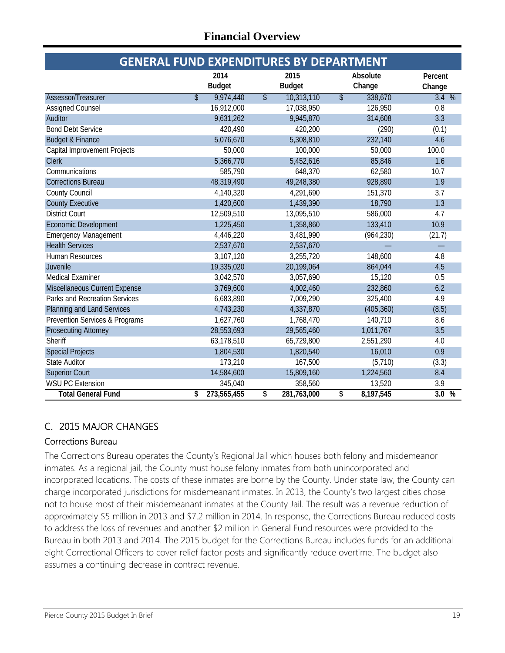| <b>GENERAL FUND EXPENDITURES BY DEPARTMENT</b> |                                       |                                        |                                     |         |  |  |
|------------------------------------------------|---------------------------------------|----------------------------------------|-------------------------------------|---------|--|--|
|                                                | 2014                                  | 2015                                   | Absolute                            | Percent |  |  |
|                                                | <b>Budget</b>                         | <b>Budget</b>                          | Change                              | Change  |  |  |
| Assessor/Treasurer                             | 9,974,440<br>$\overline{\mathcal{S}}$ | 10,313,110<br>$\overline{\mathcal{L}}$ | $\overline{\mathcal{S}}$<br>338,670 | 3.4%    |  |  |
| Assigned Counsel                               | 16,912,000                            | 17,038,950                             | 126,950                             | 0.8     |  |  |
| Auditor                                        | 9,631,262                             | 9,945,870                              | 314,608                             | 3.3     |  |  |
| <b>Bond Debt Service</b>                       | 420,490                               | 420,200                                | (290)                               | (0.1)   |  |  |
| <b>Budget &amp; Finance</b>                    | 5,076,670                             | 5,308,810                              | 232,140                             | 4.6     |  |  |
| <b>Capital Improvement Projects</b>            | 50,000                                | 100,000                                | 50,000                              | 100.0   |  |  |
| <b>Clerk</b>                                   | 5,366,770                             | 5,452,616                              | 85,846                              | 1.6     |  |  |
| Communications                                 | 585,790                               | 648,370                                | 62,580                              | 10.7    |  |  |
| <b>Corrections Bureau</b>                      | 48,319,490                            | 49,248,380                             | 928,890                             | 1.9     |  |  |
| <b>County Council</b>                          | 4,140,320                             | 4,291,690                              | 151,370                             | 3.7     |  |  |
| <b>County Executive</b>                        | 1,420,600                             | 1,439,390                              | 18,790                              | 1.3     |  |  |
| <b>District Court</b>                          | 12,509,510                            | 13,095,510                             | 586,000                             | 4.7     |  |  |
| <b>Economic Development</b>                    | 1,225,450                             | 1,358,860                              | 133,410                             | 10.9    |  |  |
| <b>Emergency Management</b>                    | 4,446,220                             | 3,481,990                              | (964, 230)                          | (21.7)  |  |  |
| <b>Health Services</b>                         | 2,537,670                             | 2,537,670                              |                                     |         |  |  |
| Human Resources                                | 3,107,120                             | 3,255,720                              | 148,600                             | 4.8     |  |  |
| Juvenile                                       | 19,335,020                            | 20,199,064                             | 864,044                             | 4.5     |  |  |
| <b>Medical Examiner</b>                        | 3,042,570                             | 3,057,690                              | 15,120                              | 0.5     |  |  |
| Miscellaneous Current Expense                  | 3,769,600                             | 4,002,460                              | 232,860                             | 6.2     |  |  |
| Parks and Recreation Services                  | 6,683,890                             | 7,009,290                              | 325,400                             | 4.9     |  |  |
| Planning and Land Services                     | 4,743,230                             | 4,337,870                              | (405, 360)                          | (8.5)   |  |  |
| Prevention Services & Programs                 | 1,627,760                             | 1,768,470                              | 140,710                             | 8.6     |  |  |
| <b>Prosecuting Attorney</b>                    | 28,553,693                            | 29,565,460                             | 1,011,767                           | 3.5     |  |  |
| Sheriff                                        | 63,178,510                            | 65,729,800                             | 2,551,290                           | 4.0     |  |  |
| <b>Special Projects</b>                        | 1,804,530                             | 1,820,540                              | 16,010                              | 0.9     |  |  |
| <b>State Auditor</b>                           | 173,210                               | 167,500                                | (5,710)                             | (3.3)   |  |  |
| <b>Superior Court</b>                          | 14,584,600                            | 15,809,160                             | 1,224,560                           | 8.4     |  |  |
| <b>WSU PC Extension</b>                        | 345,040                               | 358,560                                | 13,520                              | 3.9     |  |  |
| <b>Total General Fund</b>                      | 273,565,455<br>\$                     | \$<br>281,763,000                      | \$<br>8,197,545                     | 3.0%    |  |  |

### C. 2015 MAJOR CHANGES

#### Corrections Bureau

The Corrections Bureau operates the County's Regional Jail which houses both felony and misdemeanor inmates. As a regional jail, the County must house felony inmates from both unincorporated and incorporated locations. The costs of these inmates are borne by the County. Under state law, the County can charge incorporated jurisdictions for misdemeanant inmates. In 2013, the County's two largest cities chose not to house most of their misdemeanant inmates at the County Jail. The result was a revenue reduction of approximately \$5 million in 2013 and \$7.2 million in 2014. In response, the Corrections Bureau reduced costs to address the loss of revenues and another \$2 million in General Fund resources were provided to the Bureau in both 2013 and 2014. The 2015 budget for the Corrections Bureau includes funds for an additional eight Correctional Officers to cover relief factor posts and significantly reduce overtime. The budget also assumes a continuing decrease in contract revenue.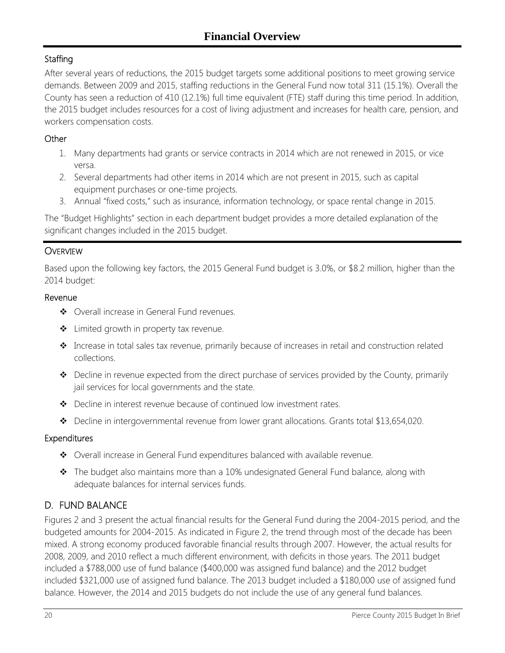### **Staffing**

After several years of reductions, the 2015 budget targets some additional positions to meet growing service demands. Between 2009 and 2015, staffing reductions in the General Fund now total 311 (15.1%). Overall the County has seen a reduction of 410 (12.1%) full time equivalent (FTE) staff during this time period. In addition, the 2015 budget includes resources for a cost of living adjustment and increases for health care, pension, and workers compensation costs.

#### **Other**

- 1. Many departments had grants or service contracts in 2014 which are not renewed in 2015, or vice versa.
- 2. Several departments had other items in 2014 which are not present in 2015, such as capital equipment purchases or one-time projects.
- 3. Annual "fixed costs," such as insurance, information technology, or space rental change in 2015.

The "Budget Highlights" section in each department budget provides a more detailed explanation of the significant changes included in the 2015 budget.

### **OVERVIEW**

Based upon the following key factors, the 2015 General Fund budget is 3.0%, or \$8.2 million, higher than the 2014 budget:

#### Revenue

- ◆ Overall increase in General Fund revenues.
- ❖ Limited growth in property tax revenue.
- Increase in total sales tax revenue, primarily because of increases in retail and construction related collections.
- \* Decline in revenue expected from the direct purchase of services provided by the County, primarily jail services for local governments and the state.
- Decline in interest revenue because of continued low investment rates.
- Decline in intergovernmental revenue from lower grant allocations. Grants total \$13,654,020.

#### Expenditures

- Overall increase in General Fund expenditures balanced with available revenue.
- \* The budget also maintains more than a 10% undesignated General Fund balance, along with adequate balances for internal services funds.

### D. FUND BALANCE

Figures 2 and 3 present the actual financial results for the General Fund during the 2004-2015 period, and the budgeted amounts for 2004-2015. As indicated in Figure 2, the trend through most of the decade has been mixed. A strong economy produced favorable financial results through 2007. However, the actual results for 2008, 2009, and 2010 reflect a much different environment, with deficits in those years. The 2011 budget included a \$788,000 use of fund balance (\$400,000 was assigned fund balance) and the 2012 budget included \$321,000 use of assigned fund balance. The 2013 budget included a \$180,000 use of assigned fund balance. However, the 2014 and 2015 budgets do not include the use of any general fund balances.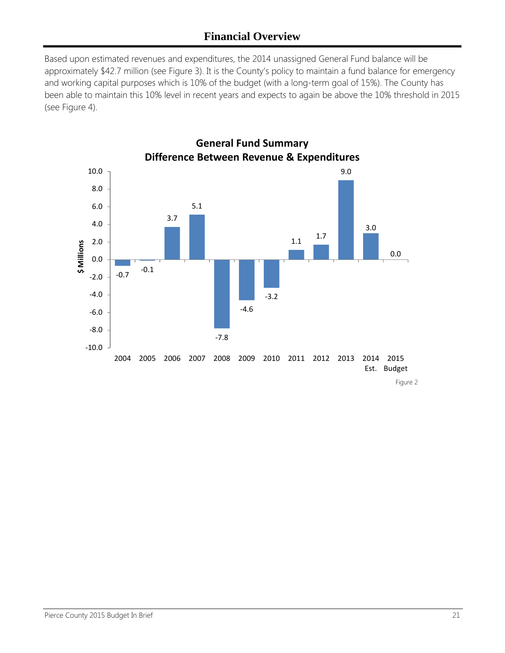Based upon estimated revenues and expenditures, the 2014 unassigned General Fund balance will be approximately \$42.7 million (see Figure 3). It is the County's policy to maintain a fund balance for emergency and working capital purposes which is 10% of the budget (with a long-term goal of 15%). The County has been able to maintain this 10% level in recent years and expects to again be above the 10% threshold in 2015 (see Figure 4).

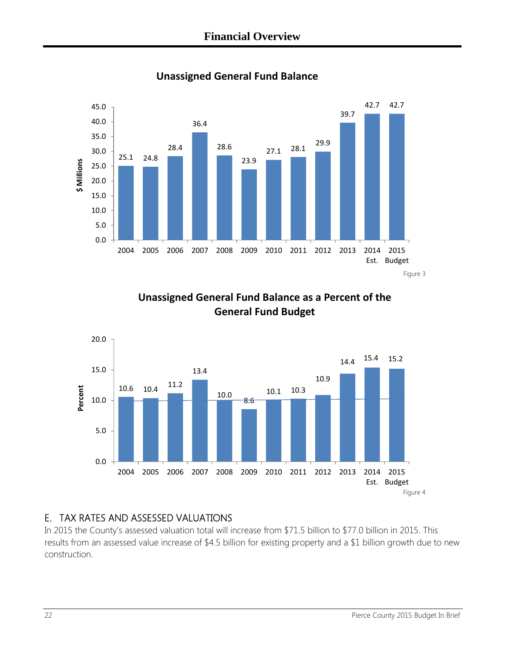

**Unassigned General Fund Balance**

**Unassigned General Fund Balance as a Percent of the General Fund Budget**



### E. TAX RATES AND ASSESSED VALUATIONS

In 2015 the County's assessed valuation total will increase from \$71.5 billion to \$77.0 billion in 2015. This results from an assessed value increase of \$4.5 billion for existing property and a \$1 billion growth due to new construction.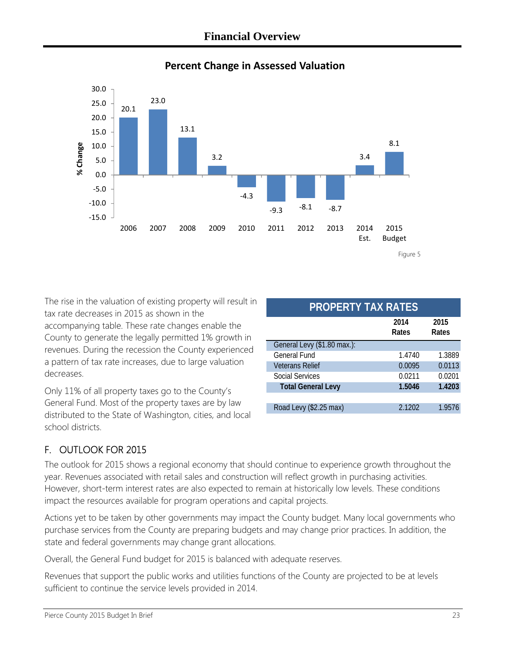

### **Percent Change in Assessed Valuation**

The rise in the valuation of existing property will result in tax rate decreases in 2015 as shown in the accompanying table. These rate changes enable the County to generate the legally permitted 1% growth in revenues. During the recession the County experienced a pattern of tax rate increases, due to large valuation decreases.

Only 11% of all property taxes go to the County's General Fund. Most of the property taxes are by law distributed to the State of Washington, cities, and local school districts.

| LII LAA IN LJ               |        |        |  |  |  |
|-----------------------------|--------|--------|--|--|--|
|                             | 2014   | 2015   |  |  |  |
|                             | Rates  | Rates  |  |  |  |
| General Levy (\$1.80 max.): |        |        |  |  |  |
| <b>General Fund</b>         | 1.4740 | 1.3889 |  |  |  |
| <b>Veterans Relief</b>      | 0.0095 | 0.0113 |  |  |  |
| Social Services             | 0.0211 | 0.0201 |  |  |  |
| <b>Total General Levy</b>   | 1.5046 | 1.4203 |  |  |  |
|                             |        |        |  |  |  |
| Road Levy (\$2.25 max)      | 2.1202 | 1.9576 |  |  |  |
|                             |        |        |  |  |  |

**PROPERTY TAY PATES** 

### F. OUTLOOK FOR 2015

The outlook for 2015 shows a regional economy that should continue to experience growth throughout the year. Revenues associated with retail sales and construction will reflect growth in purchasing activities. However, short-term interest rates are also expected to remain at historically low levels. These conditions impact the resources available for program operations and capital projects.

Actions yet to be taken by other governments may impact the County budget. Many local governments who purchase services from the County are preparing budgets and may change prior practices. In addition, the state and federal governments may change grant allocations.

Overall, the General Fund budget for 2015 is balanced with adequate reserves.

Revenues that support the public works and utilities functions of the County are projected to be at levels sufficient to continue the service levels provided in 2014.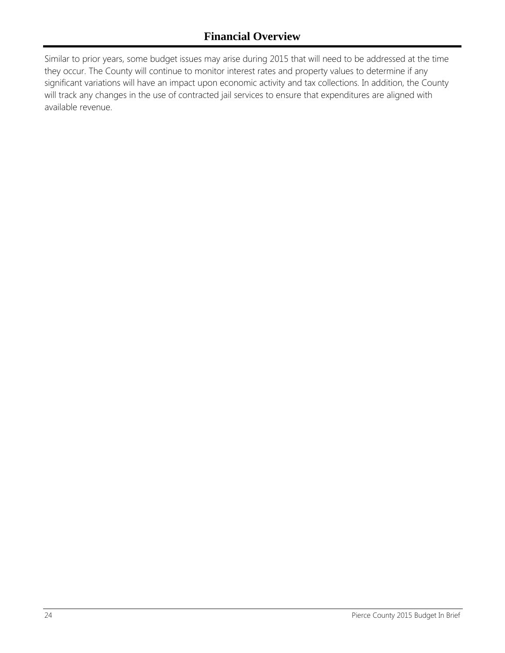Similar to prior years, some budget issues may arise during 2015 that will need to be addressed at the time they occur. The County will continue to monitor interest rates and property values to determine if any significant variations will have an impact upon economic activity and tax collections. In addition, the County will track any changes in the use of contracted jail services to ensure that expenditures are aligned with available revenue.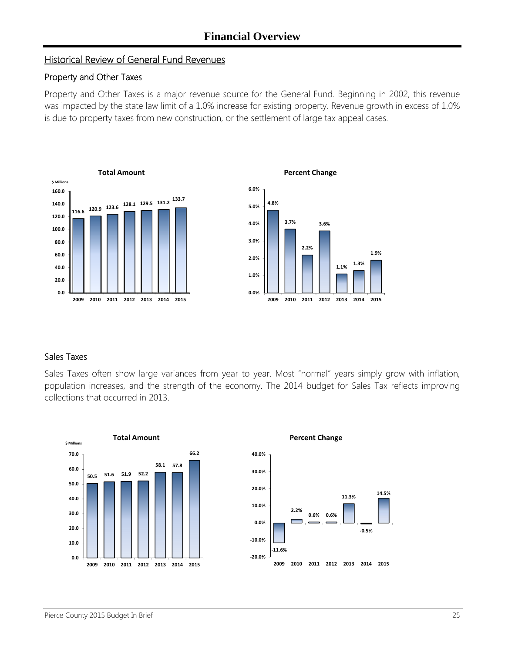#### Historical Review of General Fund Revenues

#### Property and Other Taxes

Property and Other Taxes is a major revenue source for the General Fund. Beginning in 2002, this revenue was impacted by the state law limit of a 1.0% increase for existing property. Revenue growth in excess of 1.0% is due to property taxes from new construction, or the settlement of large tax appeal cases.





#### Sales Taxes

Sales Taxes often show large variances from year to year. Most "normal" years simply grow with inflation, population increases, and the strength of the economy. The 2014 budget for Sales Tax reflects improving collections that occurred in 2013.



**14.5%**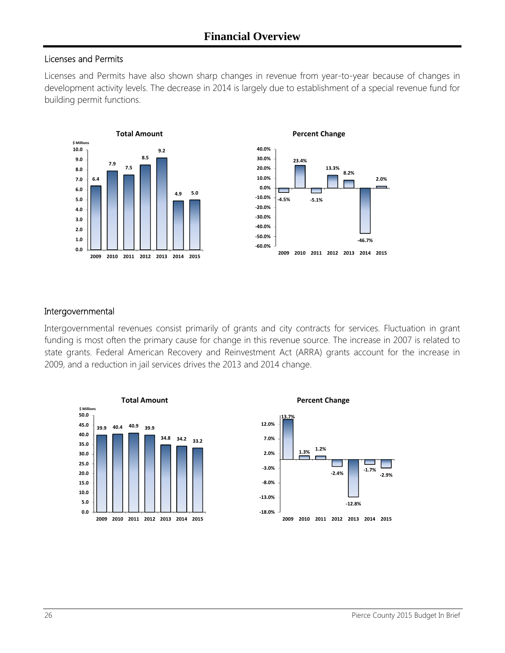#### Licenses and Permits

Licenses and Permits have also shown sharp changes in revenue from year-to-year because of changes in development activity levels. The decrease in 2014 is largely due to establishment of a special revenue fund for building permit functions.





#### Intergovernmental

Intergovernmental revenues consist primarily of grants and city contracts for services. Fluctuation in grant funding is most often the primary cause for change in this revenue source. The increase in 2007 is related to state grants. Federal American Recovery and Reinvestment Act (ARRA) grants account for the increase in 2009, and a reduction in jail services drives the 2013 and 2014 change.

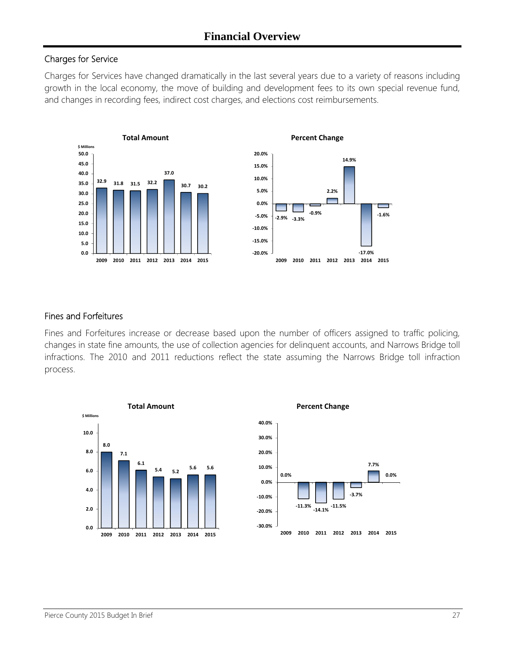#### Charges for Service

Charges for Services have changed dramatically in the last several years due to a variety of reasons including growth in the local economy, the move of building and development fees to its own special revenue fund, and changes in recording fees, indirect cost charges, and elections cost reimbursements.





**Percent Change**

#### Fines and Forfeitures

Fines and Forfeitures increase or decrease based upon the number of officers assigned to traffic policing, changes in state fine amounts, the use of collection agencies for delinquent accounts, and Narrows Bridge toll infractions. The 2010 and 2011 reductions reflect the state assuming the Narrows Bridge toll infraction process.



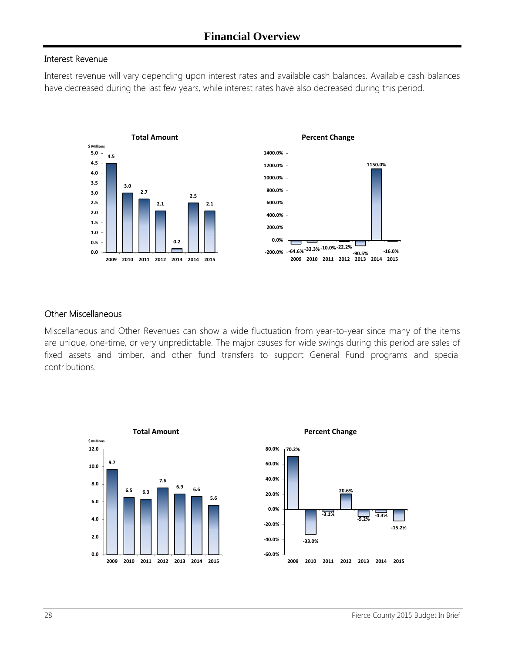#### Interest Revenue

Interest revenue will vary depending upon interest rates and available cash balances. Available cash balances have decreased during the last few years, while interest rates have also decreased during this period.





#### Other Miscellaneous

Miscellaneous and Other Revenues can show a wide fluctuation from year-to-year since many of the items are unique, one-time, or very unpredictable. The major causes for wide swings during this period are sales of fixed assets and timber, and other fund transfers to support General Fund programs and special contributions.



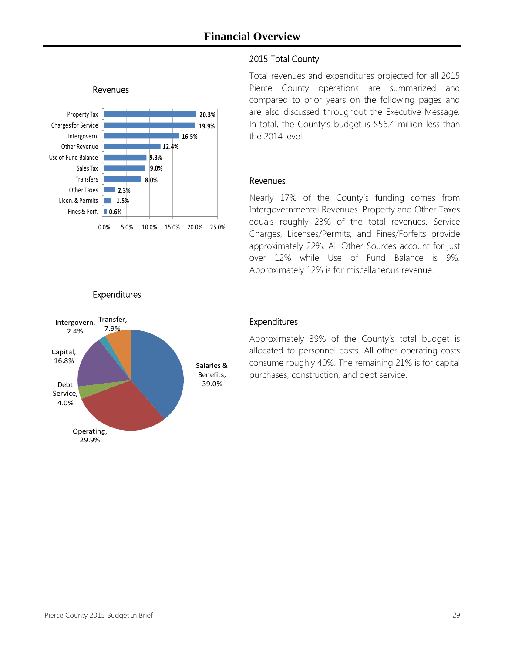

#### 2015 Total County

Total revenues and expenditures projected for all 2015 Pierce County operations are summarized and compared to prior years on the following pages and are also discussed throughout the Executive Message. In total, the County's budget is \$56.4 million less than the 2014 level.

#### Revenues

Nearly 17% of the County's funding comes from Intergovernmental Revenues. Property and Other Taxes equals roughly 23% of the total revenues. Service Charges, Licenses/Permits, and Fines/Forfeits provide approximately 22%. All Other Sources account for just over 12% while Use of Fund Balance is 9%. Approximately 12% is for miscellaneous revenue.





### Expenditures

Approximately 39% of the County's total budget is allocated to personnel costs. All other operating costs consume roughly 40%. The remaining 21% is for capital purchases, construction, and debt service.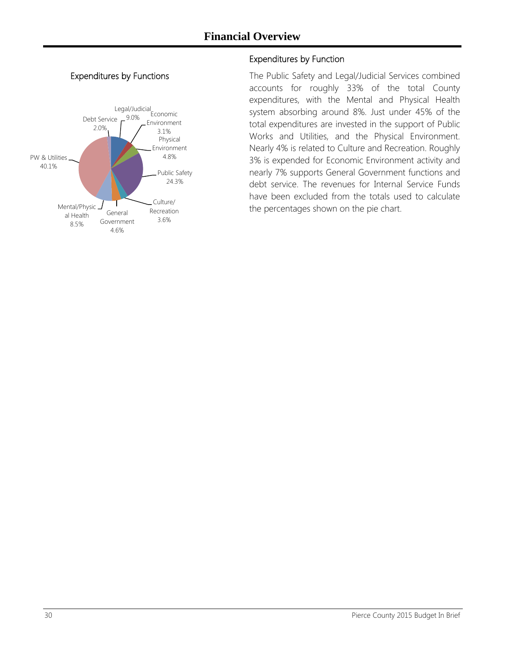#### Expenditures by Functions



#### Expenditures by Function

The Public Safety and Legal/Judicial Services combined accounts for roughly 33% of the total County expenditures, with the Mental and Physical Health system absorbing around 8%. Just under 45% of the total expenditures are invested in the support of Public Works and Utilities, and the Physical Environment. Nearly 4% is related to Culture and Recreation. Roughly 3% is expended for Economic Environment activity and nearly 7% supports General Government functions and debt service. The revenues for Internal Service Funds have been excluded from the totals used to calculate the percentages shown on the pie chart.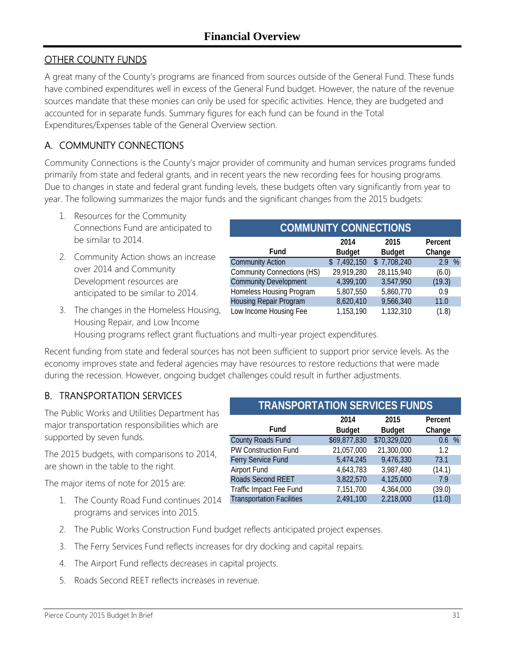### OTHER COUNTY FUNDS

A great many of the County's programs are financed from sources outside of the General Fund. These funds have combined expenditures well in excess of the General Fund budget. However, the nature of the revenue sources mandate that these monies can only be used for specific activities. Hence, they are budgeted and accounted for in separate funds. Summary figures for each fund can be found in the Total Expenditures/Expenses table of the General Overview section.

### A. COMMUNITY CONNECTIONS

Community Connections is the County's major provider of community and human services programs funded primarily from state and federal grants, and in recent years the new recording fees for housing programs. Due to changes in state and federal grant funding levels, these budgets often vary significantly from year to year. The following summarizes the major funds and the significant changes from the 2015 budgets:

- 1. Resources for the Community Connections Fund are anticipated to be similar to 2014.
- 2. Community Action shows an increase over 2014 and Community Development resources are anticipated to be similar to 2014.
- **Fund 2014 Budget 2015 Budget** Community Action  $$7,492,150 $7,708,240$  2.9 % Community Connections (HS) 29,919,280 28,115,940 (6.0) Community Development 4,399,100 3,547,950 (19.3) Homeless Housing Program 5,807,550 5,860,770 0.9 Housing Repair Program 8,620,410 9,566,340 11.0 Low Income Housing Fee 1,153,190 1,132,310 (1.8) **Percent Change**

**COMMUNITY CONNECTIONS**

3. The changes in the Homeless Housing, Housing Repair, and Low Income

Housing programs reflect grant fluctuations and multi-year project expenditures.

Recent funding from state and federal sources has not been sufficient to support prior service levels. As the economy improves state and federal agencies may have resources to restore reductions that were made during the recession. However, ongoing budget challenges could result in further adjustments.

### B. TRANSPORTATION SERVICES

The Public Works and Utilities Department has major transportation responsibilities which are supported by seven funds.

The 2015 budgets, with comparisons to 2014, are shown in the table to the right.

The major items of note for 2015 are:

1. The County Road Fund continues 2014 programs and services into 2015.

| <b>TRANSPORTATION SERVICES FUNDS</b> |               |               |         |  |  |  |
|--------------------------------------|---------------|---------------|---------|--|--|--|
|                                      | 2014          | 2015          | Percent |  |  |  |
| Fund                                 | <b>Budget</b> | <b>Budget</b> | Change  |  |  |  |
| County Roads Fund                    | \$69,877,830  | \$70,329,020  | 0.6 %   |  |  |  |
| PW Construction Fund                 | 21,057,000    | 21,300,000    | 1.2     |  |  |  |
| Ferry Service Fund                   | 5,474,245     | 9,476,330     | 73.1    |  |  |  |
| Airport Fund                         | 4,643,783     | 3,987,480     | (14.1)  |  |  |  |
| Roads Second REET                    | 3,822,570     | 4,125,000     | 7.9     |  |  |  |
| Traffic Impact Fee Fund              | 7,151,700     | 4,364,000     | (39.0)  |  |  |  |
| <b>Transportation Facilities</b>     | 2,491,100     | 2,218,000     | (11.0)  |  |  |  |

- 2. The Public Works Construction Fund budget reflects anticipated project expenses.
- 3. The Ferry Services Fund reflects increases for dry docking and capital repairs.
- 4. The Airport Fund reflects decreases in capital projects.
- 5. Roads Second REET reflects increases in revenue.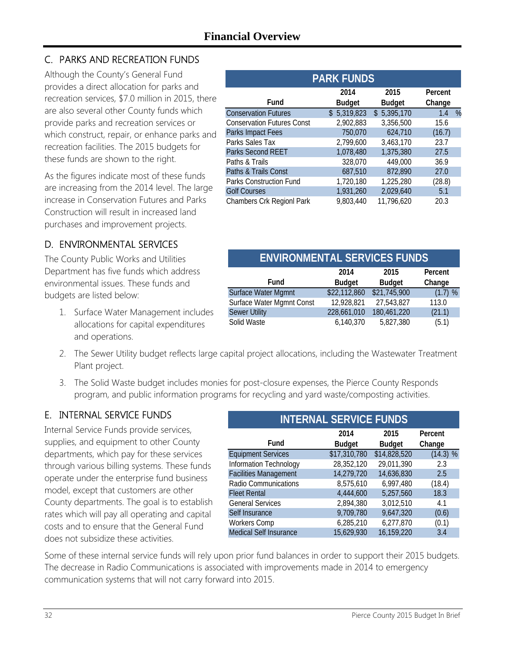### C. PARKS AND RECREATION FUNDS

Although the County's General Fund provides a direct allocation for parks and recreation services, \$7.0 million in 2015, there are also several other County funds which provide parks and recreation services or which construct, repair, or enhance parks and recreation facilities. The 2015 budgets for these funds are shown to the right.

As the figures indicate most of these funds are increasing from the 2014 level. The large increase in Conservation Futures and Parks Construction will result in increased land purchases and improvement projects.

### D. ENVIRONMENTAL SERVICES

The County Public Works and Utilities Department has five funds which address environmental issues. These funds and budgets are listed below:

1. Surface Water Management includes allocations for capital expenditures and operations.

| <b>PARK FUNDS</b>                 |               |               |          |  |  |  |
|-----------------------------------|---------------|---------------|----------|--|--|--|
|                                   | 2014          | 2015          | Percent  |  |  |  |
| Fund                              | <b>Budget</b> | <b>Budget</b> | Change   |  |  |  |
| <b>Conservation Futures</b>       | \$5,319,823   | \$5,395,170   | %<br>1.4 |  |  |  |
| <b>Conservation Futures Const</b> | 2,902,883     | 3,356,500     | 15.6     |  |  |  |
| Parks Impact Fees                 | 750,070       | 624,710       | (16.7)   |  |  |  |
| Parks Sales Tax                   | 2,799,600     | 3,463,170     | 23.7     |  |  |  |
| <b>Parks Second REET</b>          | 1,078,480     | 1,375,380     | 27.5     |  |  |  |
| Paths & Trails                    | 328,070       | 449,000       | 36.9     |  |  |  |
| Paths & Trails Const              | 687,510       | 872,890       | 27.0     |  |  |  |
| Parks Construction Fund           | 1,720,180     | 1,225,280     | (28.8)   |  |  |  |
| <b>Golf Courses</b>               | 1,931,260     | 2,029,640     | 5.1      |  |  |  |
| Chambers Crk Regionl Park         | 9,803,440     | 11,796,620    | 20.3     |  |  |  |

| <b>ENVIRONMENTAL SERVICES FUNDS</b> |               |               |         |  |  |  |  |
|-------------------------------------|---------------|---------------|---------|--|--|--|--|
|                                     | 2014          | 2015          | Percent |  |  |  |  |
| Fund                                | <b>Budget</b> | <b>Budget</b> | Change  |  |  |  |  |
| Surface Water Mgmnt                 | \$22,112,860  | \$21,745,900  | (1.7) % |  |  |  |  |
| Surface Water Mgmnt Const           | 12,928,821    | 27,543,827    | 113.0   |  |  |  |  |
| <b>Sewer Utility</b>                | 228,661,010   | 180,461,220   | (21.1)  |  |  |  |  |
| Solid Waste                         | 6,140,370     | 5,827,380     | (5.1)   |  |  |  |  |

- 2. The Sewer Utility budget reflects large capital project allocations, including the Wastewater Treatment Plant project.
- 3. The Solid Waste budget includes monies for post-closure expenses, the Pierce County Responds program, and public information programs for recycling and yard waste/composting activities.

### E. INTERNAL SERVICE FUNDS

Internal Service Funds provide services, supplies, and equipment to other County departments, which pay for these services through various billing systems. These funds operate under the enterprise fund business model, except that customers are other County departments. The goal is to establish rates which will pay all operating and capital costs and to ensure that the General Fund does not subsidize these activities.

| <b>INTERNAL SERVICE FUNDS</b> |               |          |  |  |  |  |  |  |
|-------------------------------|---------------|----------|--|--|--|--|--|--|
| 2014                          | 2015          | Percent  |  |  |  |  |  |  |
| <b>Budget</b>                 | <b>Budget</b> | Change   |  |  |  |  |  |  |
| \$17,310,780                  | \$14,828,520  | (14.3) % |  |  |  |  |  |  |
| 28,352,120                    | 29,011,390    | 2.3      |  |  |  |  |  |  |
| 14,279,720                    | 14,636,830    | 2.5      |  |  |  |  |  |  |
| 8,575,610                     | 6,997,480     | (18.4)   |  |  |  |  |  |  |
| 4,444,600                     | 5,257,560     | 18.3     |  |  |  |  |  |  |
| 2,894,380                     | 3,012,510     | 4.1      |  |  |  |  |  |  |
| 9,709,780                     | 9,647,320     | (0.6)    |  |  |  |  |  |  |
| 6,285,210                     | 6,277,870     | (0.1)    |  |  |  |  |  |  |
| 15,629,930                    | 16,159,220    | 3.4      |  |  |  |  |  |  |
|                               |               |          |  |  |  |  |  |  |

Some of these internal service funds will rely upon prior fund balances in order to support their 2015 budgets. The decrease in Radio Communications is associated with improvements made in 2014 to emergency communication systems that will not carry forward into 2015.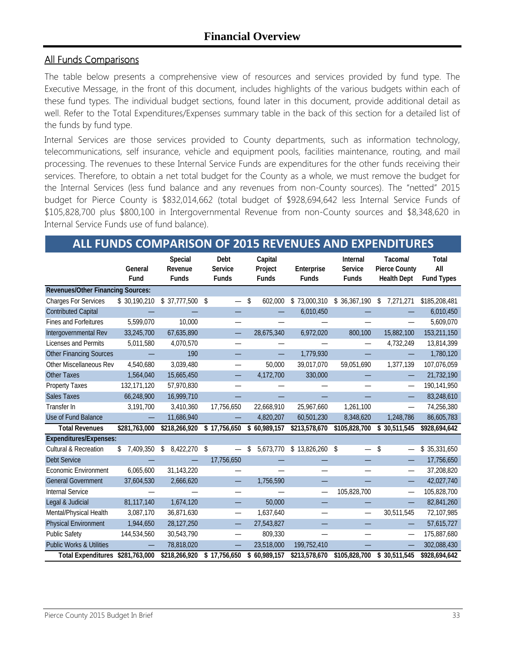#### All Funds Comparisons

The table below presents a comprehensive view of resources and services provided by fund type. The Executive Message, in the front of this document, includes highlights of the various budgets within each of these fund types. The individual budget sections, found later in this document, provide additional detail as well. Refer to the Total Expenditures/Expenses summary table in the back of this section for a detailed list of the funds by fund type.

Internal Services are those services provided to County departments, such as information technology, telecommunications, self insurance, vehicle and equipment pools, facilities maintenance, routing, and mail processing. The revenues to these Internal Service Funds are expenditures for the other funds receiving their services. Therefore, to obtain a net total budget for the County as a whole, we must remove the budget for the Internal Services (less fund balance and any revenues from non-County sources). The "netted" 2015 budget for Pierce County is \$832,014,662 (total budget of \$928,694,642 less Internal Service Funds of \$105,828,700 plus \$800,100 in Intergovernmental Revenue from non-County sources and \$8,348,620 in Internal Service Funds use of fund balance).

### **ALL FUNDS COMPARISON OF 2015 REVENUES AND EXPENDITURES**

|                                          | General<br>Fund | Special<br>Revenue<br><b>Funds</b> | Debt<br>Service<br><b>Funds</b> | Capital<br>Project<br><b>Funds</b> | Enterprise<br><b>Funds</b> | <b>Internal</b><br>Service<br><b>Funds</b> | Tacoma/<br><b>Pierce County</b><br><b>Health Dept</b> | Total<br>All<br><b>Fund Types</b> |
|------------------------------------------|-----------------|------------------------------------|---------------------------------|------------------------------------|----------------------------|--------------------------------------------|-------------------------------------------------------|-----------------------------------|
| <b>Revenues/Other Financing Sources:</b> |                 |                                    |                                 |                                    |                            |                                            |                                                       |                                   |
| <b>Charges For Services</b>              | \$30,190,210    | \$37,777,500                       | $\sqrt{2}$                      | \$<br>602,000                      | \$73,000,310               | \$36,367,190                               | \$<br>7,271,271                                       | \$185,208,481                     |
| <b>Contributed Capital</b>               |                 |                                    |                                 |                                    | 6,010,450                  |                                            |                                                       | 6,010,450                         |
| Fines and Forfeitures                    | 5,599,070       | 10,000                             |                                 |                                    |                            |                                            |                                                       | 5,609,070                         |
| Intergovernmental Rev                    | 33,245,700      | 67,635,890                         |                                 | 28,675,340                         | 6,972,020                  | 800,100                                    | 15,882,100                                            | 153,211,150                       |
| Licenses and Permits                     | 5,011,580       | 4,070,570                          |                                 |                                    |                            |                                            | 4,732,249                                             | 13,814,399                        |
| <b>Other Financing Sources</b>           |                 | 190                                |                                 |                                    | 1,779,930                  |                                            |                                                       | 1,780,120                         |
| Other Miscellaneous Rev                  | 4,540,680       | 3,039,480                          |                                 | 50,000                             | 39,017,070                 | 59,051,690                                 | 1,377,139                                             | 107,076,059                       |
| <b>Other Taxes</b>                       | 1,564,040       | 15,665,450                         |                                 | 4,172,700                          | 330,000                    |                                            |                                                       | 21,732,190                        |
| Property Taxes                           | 132,171,120     | 57,970,830                         |                                 |                                    |                            |                                            |                                                       | 190,141,950                       |
| <b>Sales Taxes</b>                       | 66,248,900      | 16,999,710                         |                                 |                                    |                            |                                            |                                                       | 83,248,610                        |
| Transfer In                              | 3,191,700       | 3,410,360                          | 17,756,650                      | 22,668,910                         | 25,967,660                 | 1,261,100                                  |                                                       | 74,256,380                        |
| Use of Fund Balance                      |                 | 11,686,940                         |                                 | 4,820,207                          | 60,501,230                 | 8,348,620                                  | 1,248,786                                             | 86,605,783                        |
| <b>Total Revenues</b>                    | \$281,763,000   | \$218,266,920                      | \$17,756,650                    | \$60,989,157                       | \$213,578,670              | \$105,828,700                              | \$30,511,545                                          | \$928,694,642                     |
| <b>Expenditures/Expenses:</b>            |                 |                                    |                                 |                                    |                            |                                            |                                                       |                                   |
| <b>Cultural &amp; Recreation</b>         | 7,409,350<br>\$ | 8,422,270<br>\$                    | -\$                             | 5,673,770<br>\$                    | \$13,826,260               | -\$                                        | \$                                                    | \$35,331,650                      |
| Debt Service                             |                 |                                    | 17,756,650                      |                                    |                            |                                            | —                                                     | 17,756,650                        |
| <b>Economic Environment</b>              | 6,065,600       | 31,143,220                         |                                 |                                    |                            |                                            | —                                                     | 37,208,820                        |
| <b>General Government</b>                | 37,604,530      | 2,666,620                          |                                 | 1,756,590                          |                            |                                            |                                                       | 42,027,740                        |
| Internal Service                         |                 |                                    |                                 |                                    | —                          | 105,828,700                                | —                                                     | 105,828,700                       |
| Legal & Judicial                         | 81,117,140      | 1,674,120                          |                                 | 50,000                             |                            |                                            |                                                       | 82,841,260                        |
| Mental/Physical Health                   | 3,087,170       | 36,871,630                         |                                 | 1,637,640                          | —                          |                                            | 30,511,545                                            | 72,107,985                        |
| <b>Physical Environment</b>              | 1,944,650       | 28,127,250                         |                                 | 27,543,827                         |                            |                                            |                                                       | 57,615,727                        |
| <b>Public Safety</b>                     | 144,534,560     | 30,543,790                         | —                               | 809,330                            |                            |                                            | —                                                     | 175,887,680                       |
| <b>Public Works &amp; Utilities</b>      |                 | 78,818,020                         |                                 | 23,518,000                         | 199,752,410                |                                            |                                                       | 302,088,430                       |
| Total Expenditures \$281,763,000         |                 | \$218,266,920                      | \$17,756,650                    | \$60,989,157                       | \$213,578,670              | \$105,828,700                              | \$30,511,545                                          | \$928.694.642                     |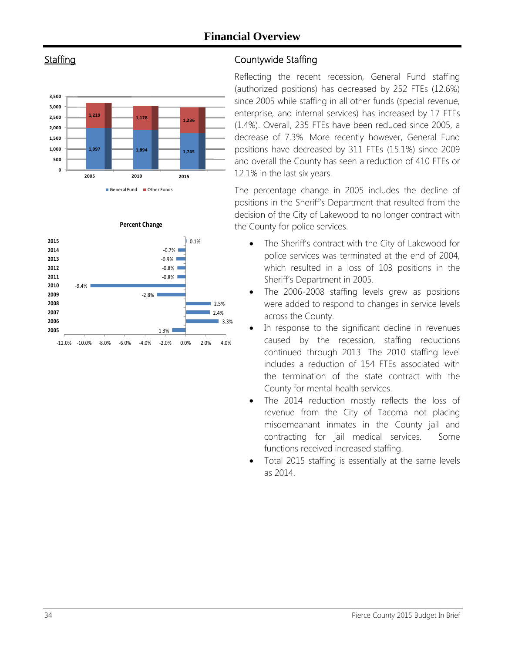

**Staffing** 



### Countywide Staffing

Reflecting the recent recession, General Fund staffing (authorized positions) has decreased by 252 FTEs (12.6%) since 2005 while staffing in all other funds (special revenue, enterprise, and internal services) has increased by 17 FTEs (1.4%). Overall, 235 FTEs have been reduced since 2005, a decrease of 7.3%. More recently however, General Fund positions have decreased by 311 FTEs (15.1%) since 2009 and overall the County has seen a reduction of 410 FTEs or 12.1% in the last six years.

The percentage change in 2005 includes the decline of positions in the Sheriff's Department that resulted from the decision of the City of Lakewood to no longer contract with the County for police services.

- The Sheriff's contract with the City of Lakewood for police services was terminated at the end of 2004, which resulted in a loss of 103 positions in the Sheriff's Department in 2005.
- The 2006-2008 staffing levels grew as positions were added to respond to changes in service levels across the County.
- In response to the significant decline in revenues caused by the recession, staffing reductions continued through 2013. The 2010 staffing level includes a reduction of 154 FTEs associated with the termination of the state contract with the County for mental health services.
- The 2014 reduction mostly reflects the loss of revenue from the City of Tacoma not placing misdemeanant inmates in the County jail and contracting for jail medical services. Some functions received increased staffing.
- Total 2015 staffing is essentially at the same levels as 2014.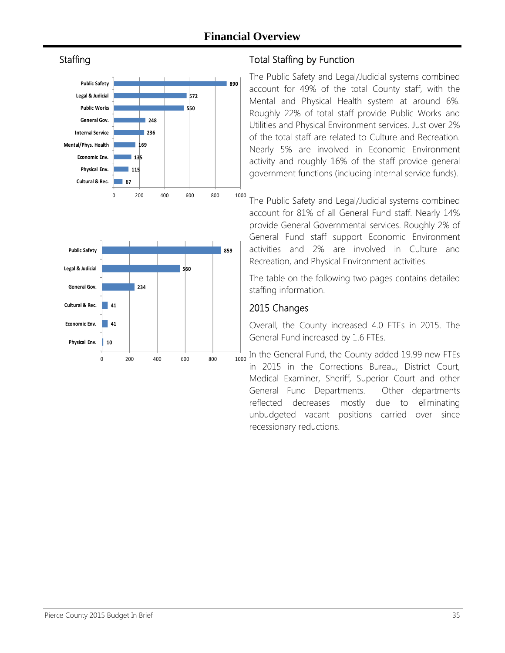





### Total Staffing by Function

The Public Safety and Legal/Judicial systems combined account for 49% of the total County staff, with the Mental and Physical Health system at around 6%. Roughly 22% of total staff provide Public Works and Utilities and Physical Environment services. Just over 2% of the total staff are related to Culture and Recreation. Nearly 5% are involved in Economic Environment activity and roughly 16% of the staff provide general government functions (including internal service funds).

The Public Safety and Legal/Judicial systems combined account for 81% of all General Fund staff. Nearly 14% provide General Governmental services. Roughly 2% of General Fund staff support Economic Environment activities and 2% are involved in Culture and Recreation, and Physical Environment activities.

The table on the following two pages contains detailed staffing information.

### 2015 Changes

Overall, the County increased 4.0 FTEs in 2015. The General Fund increased by 1.6 FTEs.

In the General Fund, the County added 19.99 new FTEs in 2015 in the Corrections Bureau, District Court, Medical Examiner, Sheriff, Superior Court and other General Fund Departments. Other departments reflected decreases mostly due to eliminating unbudgeted vacant positions carried over since recessionary reductions.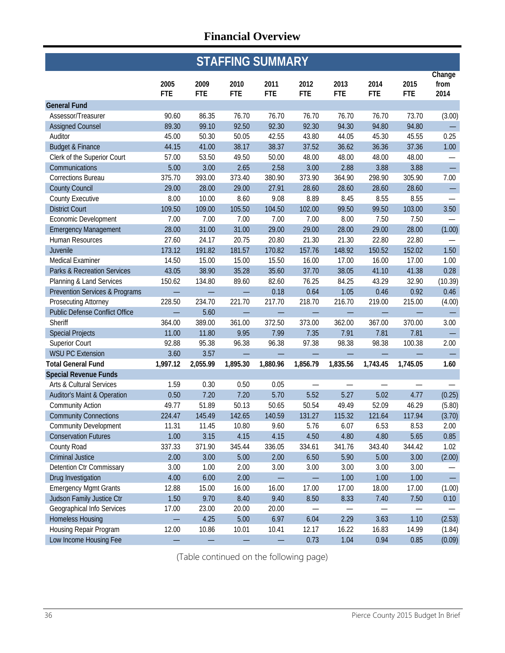| <b>STAFFING SUMMARY</b>               |                    |                    |                    |                    |                    |                    |                    |                    |                          |
|---------------------------------------|--------------------|--------------------|--------------------|--------------------|--------------------|--------------------|--------------------|--------------------|--------------------------|
|                                       | 2005<br><b>FTE</b> | 2009<br><b>FTE</b> | 2010<br><b>FTE</b> | 2011<br><b>FTE</b> | 2012<br><b>FTE</b> | 2013<br><b>FTE</b> | 2014<br><b>FTE</b> | 2015<br><b>FTE</b> | Change<br>from<br>2014   |
| <b>General Fund</b>                   |                    |                    |                    |                    |                    |                    |                    |                    |                          |
| Assessor/Treasurer                    | 90.60              | 86.35              | 76.70              | 76.70              | 76.70              | 76.70              | 76.70              | 73.70              | (3.00)                   |
| <b>Assigned Counsel</b>               | 89.30              | 99.10              | 92.50              | 92.30              | 92.30              | 94.30              | 94.80              | 94.80              |                          |
| Auditor                               | 45.00              | 50.30              | 50.05              | 42.55              | 43.80              | 44.05              | 45.30              | 45.55              | 0.25                     |
| <b>Budget &amp; Finance</b>           | 44.15              | 41.00              | 38.17              | 38.37              | 37.52              | 36.62              | 36.36              | 37.36              | 1.00                     |
| Clerk of the Superior Court           | 57.00              | 53.50              | 49.50              | 50.00              | 48.00              | 48.00              | 48.00              | 48.00              |                          |
| Communications                        | 5.00               | 3.00               | 2.65               | 2.58               | 3.00               | 2.88               | 3.88               | 3.88               | $\frac{1}{2}$            |
| <b>Corrections Bureau</b>             | 375.70             | 393.00             | 373.40             | 380.90             | 373.90             | 364.90             | 298.90             | 305.90             | 7.00                     |
| <b>County Council</b>                 | 29.00              | 28.00              | 29.00              | 27.91              | 28.60              | 28.60              | 28.60              | 28.60              | $\overline{\phantom{0}}$ |
| <b>County Executive</b>               | 8.00               | 10.00              | 8.60               | 9.08               | 8.89               | 8.45               | 8.55               | 8.55               |                          |
| <b>District Court</b>                 | 109.50             | 109.00             | 105.50             | 104.50             | 102.00             | 99.50              | 99.50              | 103.00             | 3.50                     |
| Economic Development                  | 7.00               | 7.00               | 7.00               | 7.00               | 7.00               | 8.00               | 7.50               | 7.50               |                          |
| <b>Emergency Management</b>           | 28.00              | 31.00              | 31.00              | 29.00              | 29.00              | 28.00              | 29.00              | 28.00              | (1.00)                   |
| Human Resources                       | 27.60              | 24.17              | 20.75              | 20.80              | 21.30              | 21.30              | 22.80              | 22.80              |                          |
| Juvenile                              | 173.12             | 191.82             | 181.57             | 170.82             | 157.76             | 148.92             | 150.52             | 152.02             | 1.50                     |
| Medical Examiner                      | 14.50              | 15.00              | 15.00              | 15.50              | 16.00              | 17.00              | 16.00              | 17.00              | 1.00                     |
| Parks & Recreation Services           | 43.05              | 38.90              | 35.28              | 35.60              | 37.70              | 38.05              | 41.10              | 41.38              | 0.28                     |
| Planning & Land Services              | 150.62             | 134.80             | 89.60              | 82.60              | 76.25              | 84.25              | 43.29              | 32.90              | (10.39)                  |
| Prevention Services & Programs        |                    |                    |                    | 0.18               | 0.64               | 1.05               | 0.46               | 0.92               | 0.46                     |
| Prosecuting Attorney                  | 228.50             | 234.70             | 221.70             | 217.70             | 218.70             | 216.70             | 219.00             | 215.00             | (4.00)                   |
| <b>Public Defense Conflict Office</b> |                    | 5.60               |                    |                    |                    |                    |                    |                    |                          |
| Sheriff                               | 364.00             | 389.00             | 361.00             | 372.50             | 373.00             | 362.00             | 367.00             | 370.00             | 3.00                     |
| <b>Special Projects</b>               | 11.00              | 11.80              | 9.95               | 7.99               | 7.35               | 7.91               | 7.81               | 7.81               |                          |
| <b>Superior Court</b>                 | 92.88              | 95.38              | 96.38              | 96.38              | 97.38              | 98.38              | 98.38              | 100.38             | 2.00                     |
| <b>WSU PC Extension</b>               | 3.60               | 3.57               |                    |                    |                    |                    |                    |                    |                          |
| <b>Total General Fund</b>             | 1,997.12           | 2,055.99           | 1,895.30           | 1,880.96           | 1,856.79           | 1,835.56           | 1,743.45           | 1,745.05           | 1.60                     |
| <b>Special Revenue Funds</b>          |                    |                    |                    |                    |                    |                    |                    |                    |                          |
| <b>Arts &amp; Cultural Services</b>   | 1.59               | 0.30               | 0.50               | 0.05               |                    |                    |                    |                    |                          |
| Auditor's Maint & Operation           | 0.50               | 7.20               | 7.20               | 5.70               | 5.52               | 5.27               | 5.02               | 4.77               | (0.25)                   |
| <b>Community Action</b>               | 49.77              | 51.89              | 50.13              | 50.65              | 50.54              | 49.49              | 52.09              | 46.29              | (5.80)                   |
| <b>Community Connections</b>          | 224.47             | 145.49             | 142.65             | 140.59             | 131.27             | 115.32             | 121.64             | 117.94             | (3.70)                   |
| <b>Community Development</b>          | 11.31              | 11.45              | 10.80              | 9.60               | 5.76               | 6.07               | 6.53               | 8.53               | 2.00                     |
| <b>Conservation Futures</b>           | 1.00               | 3.15               | 4.15               | 4.15               | 4.50               | 4.80               | 4.80               | 5.65               | 0.85                     |
| County Road                           | 337.33             | 371.90             | 345.44             | 336.05             | 334.61             | 341.76             | 343.40             | 344.42             | 1.02                     |
| <b>Criminal Justice</b>               | 2.00               | 3.00               | 5.00               | 2.00               | 6.50               | 5.90               | 5.00               | 3.00               | (2.00)                   |
| Detention Ctr Commissary              | 3.00               | 1.00               | 2.00               | 3.00               | 3.00               | 3.00               | 3.00               | 3.00               |                          |
| Drug Investigation                    | 4.00               | 6.00               | 2.00               |                    |                    | 1.00               | 1.00               | 1.00               | $\equiv$                 |
| <b>Emergency Mgmt Grants</b>          | 12.88              | 15.00              | 16.00              | 16.00              | 17.00              | 17.00              | 18.00              | 17.00              | (1.00)                   |
| Judson Family Justice Ctr             | 1.50               | 9.70               | 8.40               | 9.40               | 8.50               | 8.33               | 7.40               | 7.50               | 0.10                     |
| Geographical Info Services            | 17.00              | 23.00              | 20.00              | 20.00              |                    |                    |                    |                    |                          |
| <b>Homeless Housing</b>               |                    | 4.25               | 5.00               | 6.97               | 6.04               | 2.29               | 3.63               | 1.10               | (2.53)                   |
| Housing Repair Program                | 12.00              | 10.86              | 10.01              | 10.41              | 12.17              | 16.22              | 16.83              | 14.99              | (1.84)                   |
| Low Income Housing Fee                |                    |                    |                    |                    | 0.73               | 1.04               | 0.94               | 0.85               | (0.09)                   |

(Table continued on the following page)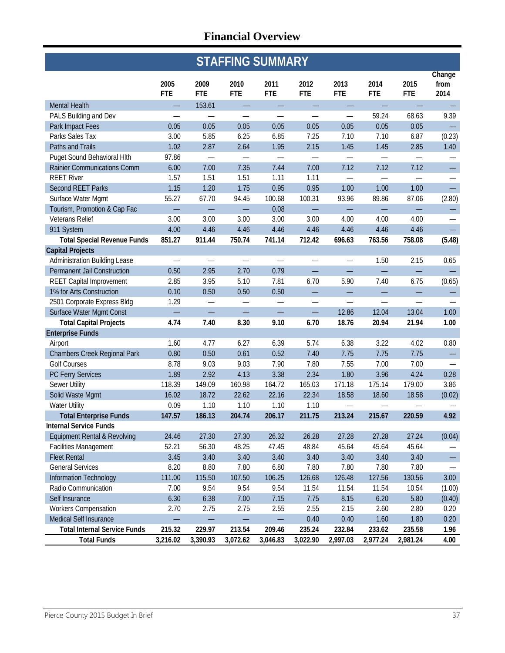| <b>STAFFING SUMMARY</b>                 |                    |                    |                          |                    |                    |                          |                          |                          |                          |
|-----------------------------------------|--------------------|--------------------|--------------------------|--------------------|--------------------|--------------------------|--------------------------|--------------------------|--------------------------|
|                                         | 2005<br><b>FTE</b> | 2009<br><b>FTE</b> | 2010<br><b>FTE</b>       | 2011<br><b>FTE</b> | 2012<br><b>FTE</b> | 2013<br><b>FTE</b>       | 2014<br><b>FTE</b>       | 2015<br><b>FTE</b>       | Change<br>from<br>2014   |
| <b>Mental Health</b>                    |                    | 153.61             |                          |                    |                    |                          |                          |                          |                          |
| PALS Building and Dev                   |                    |                    |                          |                    |                    |                          | 59.24                    | 68.63                    | 9.39                     |
| Park Impact Fees                        | 0.05               | 0.05               | 0.05                     | 0.05               | 0.05               | 0.05                     | 0.05                     | 0.05                     |                          |
| Parks Sales Tax                         | 3.00               | 5.85               | 6.25                     | 6.85               | 7.25               | 7.10                     | 7.10                     | 6.87                     | (0.23)                   |
| Paths and Trails                        | 1.02               | 2.87               | 2.64                     | 1.95               | 2.15               | 1.45                     | 1.45                     | 2.85                     | 1.40                     |
| Puget Sound Behavioral Hlth             | 97.86              |                    |                          | —                  |                    |                          |                          |                          |                          |
| Rainier Communications Comm             | 6.00               | 7.00               | 7.35                     | 7.44               | 7.00               | 7.12                     | 7.12                     | 7.12                     | $\overline{\phantom{0}}$ |
| <b>REET River</b>                       | 1.57               | 1.51               | 1.51                     | 1.11               | 1.11               | $\qquad \qquad -$        | $\overline{\phantom{0}}$ | $\overline{\phantom{0}}$ | —                        |
| <b>Second REET Parks</b>                | 1.15               | 1.20               | 1.75                     | 0.95               | 0.95               | 1.00                     | 1.00                     | 1.00                     | $\equiv$                 |
| Surface Water Mgmt                      | 55.27              | 67.70              | 94.45                    | 100.68             | 100.31             | 93.96                    | 89.86                    | 87.06                    | (2.80)                   |
| Tourism, Promotion & Cap Fac            |                    |                    | $\overline{\phantom{0}}$ | 0.08               |                    |                          | $\overline{\phantom{0}}$ |                          | —                        |
| Veterans Relief                         | 3.00               | 3.00               | 3.00                     | 3.00               | 3.00               | 4.00                     | 4.00                     | 4.00                     |                          |
| 911 System                              | 4.00               | 4.46               | 4.46                     | 4.46               | 4.46               | 4.46                     | 4.46                     | 4.46                     | ÷,                       |
| <b>Total Special Revenue Funds</b>      | 851.27             | 911.44             | 750.74                   | 741.14             | 712.42             | 696.63                   | 763.56                   | 758.08                   | (5.48)                   |
| <b>Capital Projects</b>                 |                    |                    |                          |                    |                    |                          |                          |                          |                          |
| <b>Administration Building Lease</b>    |                    |                    |                          |                    |                    |                          | 1.50                     | 2.15                     | 0.65                     |
| Permanent Jail Construction             | 0.50               | 2.95               | 2.70                     | 0.79               |                    |                          |                          |                          |                          |
| <b>REET Capital Improvement</b>         | 2.85               | 3.95               | 5.10                     | 7.81               | 6.70               | 5.90                     | 7.40                     | 6.75                     | (0.65)                   |
| 1% for Arts Construction                | 0.10               | 0.50               | 0.50                     | 0.50               | $\equiv$           | L,                       | $\equiv$                 | L,                       | $\qquad \qquad -$        |
| 2501 Corporate Express Bldg             | 1.29               |                    |                          |                    |                    | $\overline{\phantom{0}}$ |                          |                          |                          |
| Surface Water Mgmt Const                |                    |                    |                          |                    | $\equiv$           | 12.86                    | 12.04                    | 13.04                    | 1.00                     |
| <b>Total Capital Projects</b>           | 4.74               | 7.40               | 8.30                     | 9.10               | 6.70               | 18.76                    | 20.94                    | 21.94                    | 1.00                     |
| <b>Enterprise Funds</b>                 |                    |                    |                          |                    |                    |                          |                          |                          |                          |
| Airport                                 | 1.60               | 4.77               | 6.27                     | 6.39               | 5.74               | 6.38                     | 3.22                     | 4.02                     | 0.80                     |
| <b>Chambers Creek Regional Park</b>     | 0.80               | 0.50               | 0.61                     | 0.52               | 7.40               | 7.75                     | 7.75                     | 7.75                     | -                        |
| <b>Golf Courses</b>                     | 8.78               | 9.03               | 9.03                     | 7.90               | 7.80               | 7.55                     | 7.00                     | 7.00                     | $\overline{\phantom{0}}$ |
| PC Ferry Services                       | 1.89               | 2.92               | 4.13                     | 3.38               | 2.34               | 1.80                     | 3.96                     | 4.24                     | 0.28                     |
| Sewer Utility                           | 118.39             | 149.09             | 160.98                   | 164.72             | 165.03             | 171.18                   | 175.14                   | 179.00                   | 3.86                     |
| Solid Waste Mgmt                        | 16.02              | 18.72              | 22.62                    | 22.16              | 22.34              | 18.58                    | 18.60                    | 18.58                    | (0.02)                   |
| <b>Water Utility</b>                    | 0.09               | 1.10               | 1.10                     | 1.10               | 1.10               | $\overline{\phantom{0}}$ |                          |                          |                          |
| <b>Total Enterprise Funds</b>           | 147.57             | 186.13             | 204.74                   | 206.17             | 211.75             | 213.24                   | 215.67                   | 220.59                   | 4.92                     |
| <b>Internal Service Funds</b>           |                    |                    |                          |                    |                    |                          |                          |                          |                          |
| <b>Equipment Rental &amp; Revolving</b> | 24.46              | 27.30              | 27.30                    | 26.32              | 26.28              | 27.28                    | 27.28                    | 27.24                    | (0.04)                   |
| <b>Facilities Management</b>            | 52.21              | 56.30              | 48.25                    | 47.45              | 48.84              | 45.64                    | 45.64                    | 45.64                    |                          |
| <b>Fleet Rental</b>                     | 3.45               | 3.40               | 3.40                     | 3.40               | 3.40               | 3.40                     | 3.40                     | 3.40                     |                          |
| <b>General Services</b>                 | 8.20               | 8.80               | 7.80                     | 6.80               | 7.80               | 7.80                     | 7.80                     | 7.80                     | —                        |
| Information Technology                  | 111.00             | 115.50             | 107.50                   | 106.25             | 126.68             | 126.48                   | 127.56                   | 130.56                   | 3.00                     |
| Radio Communication                     | 7.00               | 9.54               | 9.54                     | 9.54               | 11.54              | 11.54                    | 11.54                    | 10.54                    | (1.00)                   |
| Self Insurance                          | 6.30               | 6.38               | 7.00                     | 7.15               | 7.75               | 8.15                     | 6.20                     | 5.80                     | (0.40)                   |
| <b>Workers Compensation</b>             | 2.70               | 2.75               | 2.75                     | 2.55               | 2.55               | 2.15                     | 2.60                     | 2.80                     | 0.20                     |
| Medical Self Insurance                  |                    |                    |                          |                    | 0.40               | 0.40                     | 1.60                     | 1.80                     | 0.20                     |
| <b>Total Internal Service Funds</b>     | 215.32             | 229.97             | 213.54                   | 209.46             | 235.24             | 232.84                   | 233.62                   | 235.58                   | 1.96                     |
| <b>Total Funds</b>                      | 3,216.02           | 3,390.93           | 3,072.62                 | 3,046.83           | 3,022.90           | 2,997.03                 | 2,977.24                 | 2,981.24                 | 4.00                     |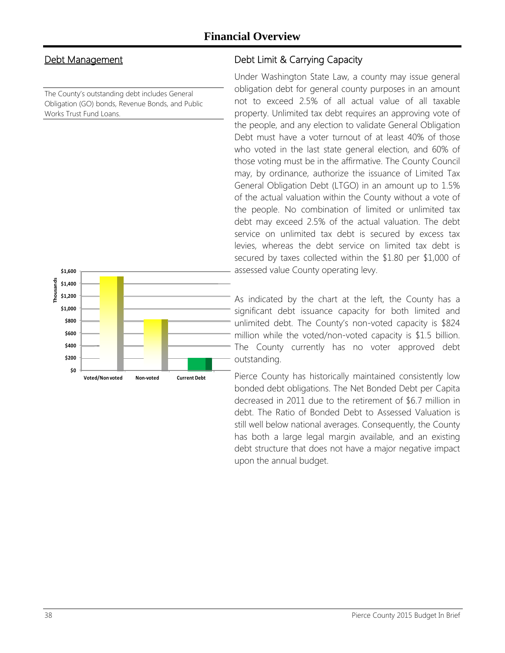### Debt Management

The County's outstanding debt includes General Obligation (GO) bonds, Revenue Bonds, and Public Works Trust Fund Loans.



### Debt Limit & Carrying Capacity

Under Washington State Law, a county may issue general obligation debt for general county purposes in an amount not to exceed 2.5% of all actual value of all taxable property. Unlimited tax debt requires an approving vote of the people, and any election to validate General Obligation Debt must have a voter turnout of at least 40% of those who voted in the last state general election, and 60% of those voting must be in the affirmative. The County Council may, by ordinance, authorize the issuance of Limited Tax General Obligation Debt (LTGO) in an amount up to 1.5% of the actual valuation within the County without a vote of the people. No combination of limited or unlimited tax debt may exceed 2.5% of the actual valuation. The debt service on unlimited tax debt is secured by excess tax levies, whereas the debt service on limited tax debt is secured by taxes collected within the \$1.80 per \$1,000 of assessed value County operating levy.

As indicated by the chart at the left, the County has a significant debt issuance capacity for both limited and unlimited debt. The County's non-voted capacity is \$824 million while the voted/non-voted capacity is \$1.5 billion. The County currently has no voter approved debt outstanding.

Pierce County has historically maintained consistently low bonded debt obligations. The Net Bonded Debt per Capita decreased in 2011 due to the retirement of \$6.7 million in debt. The Ratio of Bonded Debt to Assessed Valuation is still well below national averages. Consequently, the County has both a large legal margin available, and an existing debt structure that does not have a major negative impact upon the annual budget.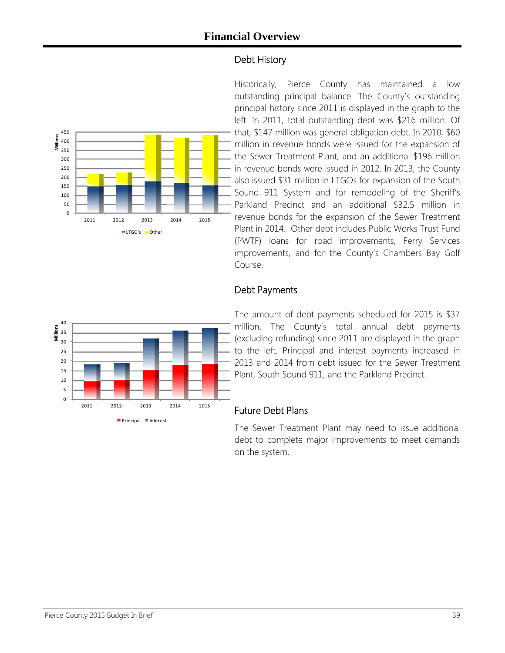### Debt History



Historically, Pierce County has maintained a low outstanding principal balance. The County's outstanding principal history since 2011 is displayed in the graph to the left. In 2011, total outstanding debt was \$216 million. Of that, \$147 million was general obligation debt. In 2010, \$60 million in revenue bonds were issued for the expansion of the Sewer Treatment Plant, and an additional \$196 million in revenue bonds were issued in 2012. In 2013, the County also issued \$31 million in LTGOs for expansion of the South Sound 911 System and for remodeling of the Sheriff's Parkland Precinct and an additional \$32.5 million in revenue bonds for the expansion of the Sewer Treatment Plant in 2014. Other debt includes Public Works Trust Fund (PWTF) loans for road improvements, Ferry Services improvements, and for the County's Chambers Bay Golf Course.

### Debt Payments



The amount of debt payments scheduled for 2015 is \$37 million. The County's total annual debt payments (excluding refunding) since 2011 are displayed in the graph to the left. Principal and interest payments increased in 2013 and 2014 from debt issued for the Sewer Treatment Plant, South Sound 911, and the Parkland Precinct.

#### Future Debt Plans

The Sewer Treatment Plant may need to issue additional debt to complete major improvements to meet demands on the system.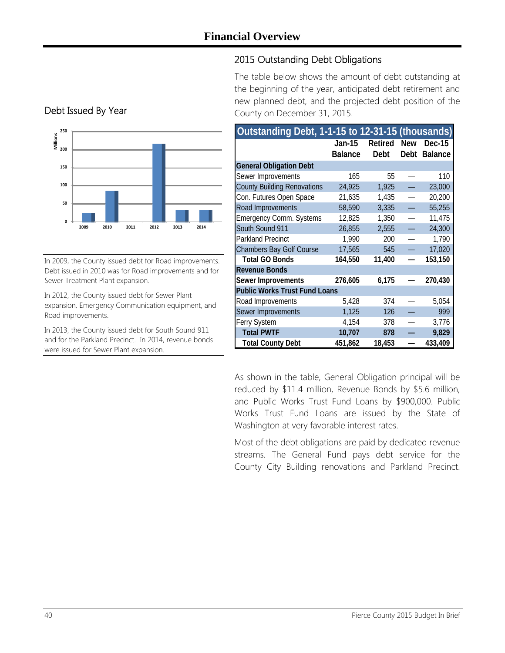### 2015 Outstanding Debt Obligations

The table below shows the amount of debt outstanding at the beginning of the year, anticipated debt retirement and new planned debt, and the projected debt position of the County on December 31, 2015.



In 2009, the County issued debt for Road improvements. Debt issued in 2010 was for Road improvements and for Sewer Treatment Plant expansion.

In 2012, the County issued debt for Sewer Plant expansion, Emergency Communication equipment, and Road improvements.

In 2013, the County issued debt for South Sound 911 and for the Parkland Precinct. In 2014, revenue bonds were issued for Sewer Plant expansion.

| Outstanding Debt, 1-1-15 to 12-31-15 (thousands) |                          |                 |             |                          |
|--------------------------------------------------|--------------------------|-----------------|-------------|--------------------------|
|                                                  | Jan-15<br><b>Balance</b> | Retired<br>Debt | New<br>Debt | Dec-15<br><b>Balance</b> |
| <b>General Obligation Debt</b>                   |                          |                 |             |                          |
| Sewer Improvements                               | 165                      | 55              |             | 110                      |
| <b>County Building Renovations</b>               | 24,925                   | 1,925           |             | 23,000                   |
| Con. Futures Open Space                          | 21,635                   | 1,435           |             | 20,200                   |
| Road Improvements                                | 58,590                   | 3,335           |             | 55,255                   |
| <b>Emergency Comm. Systems</b>                   | 12,825                   | 1,350           |             | 11,475                   |
| South Sound 911                                  | 26,855                   | 2,555           |             | 24,300                   |
| <b>Parkland Precinct</b>                         | 1,990                    | 200             |             | 1,790                    |
| <b>Chambers Bay Golf Course</b>                  | 17,565                   | 545             |             | 17,020                   |
| <b>Total GO Bonds</b>                            | 164,550                  | 11,400          |             | 153,150                  |
| <b>Revenue Bonds</b>                             |                          |                 |             |                          |
| Sewer Improvements                               | 276,605                  | 6,175           |             | 270,430                  |
| <b>Public Works Trust Fund Loans</b>             |                          |                 |             |                          |
| Road Improvements                                | 5,428                    | 374             |             | 5,054                    |
| Sewer Improvements                               | 1,125                    | 126             |             | 999                      |
| Ferry System                                     | 4,154                    | 378             |             | 3,776                    |
| <b>Total PWTF</b>                                | 10,707                   | 878             |             | 9,829                    |
| <b>Total County Debt</b>                         | 451,862                  | 18,453          |             | 433,409                  |

As shown in the table, General Obligation principal will be reduced by \$11.4 million, Revenue Bonds by \$5.6 million, and Public Works Trust Fund Loans by \$900,000. Public Works Trust Fund Loans are issued by the State of Washington at very favorable interest rates.

Most of the debt obligations are paid by dedicated revenue streams. The General Fund pays debt service for the County City Building renovations and Parkland Precinct.

### Debt Issued By Year